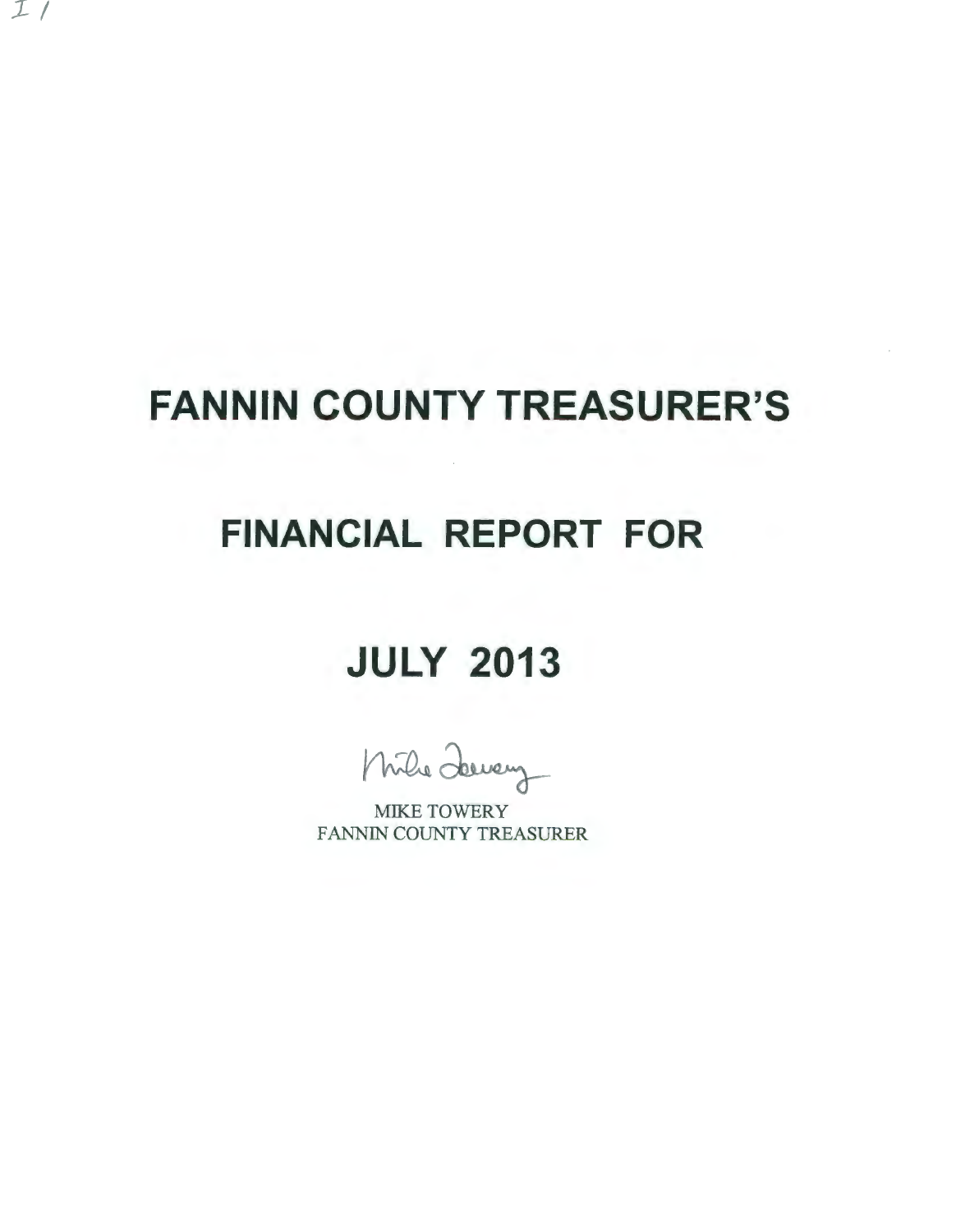# **FANNIN COUNTY TREASURER'S**

*1-1* 

## **FINANCIAL REPORT FOR**

## **JULY 2013**

Mile Jewey

MIKE TOWERY FANNIN COUNTY TREASURER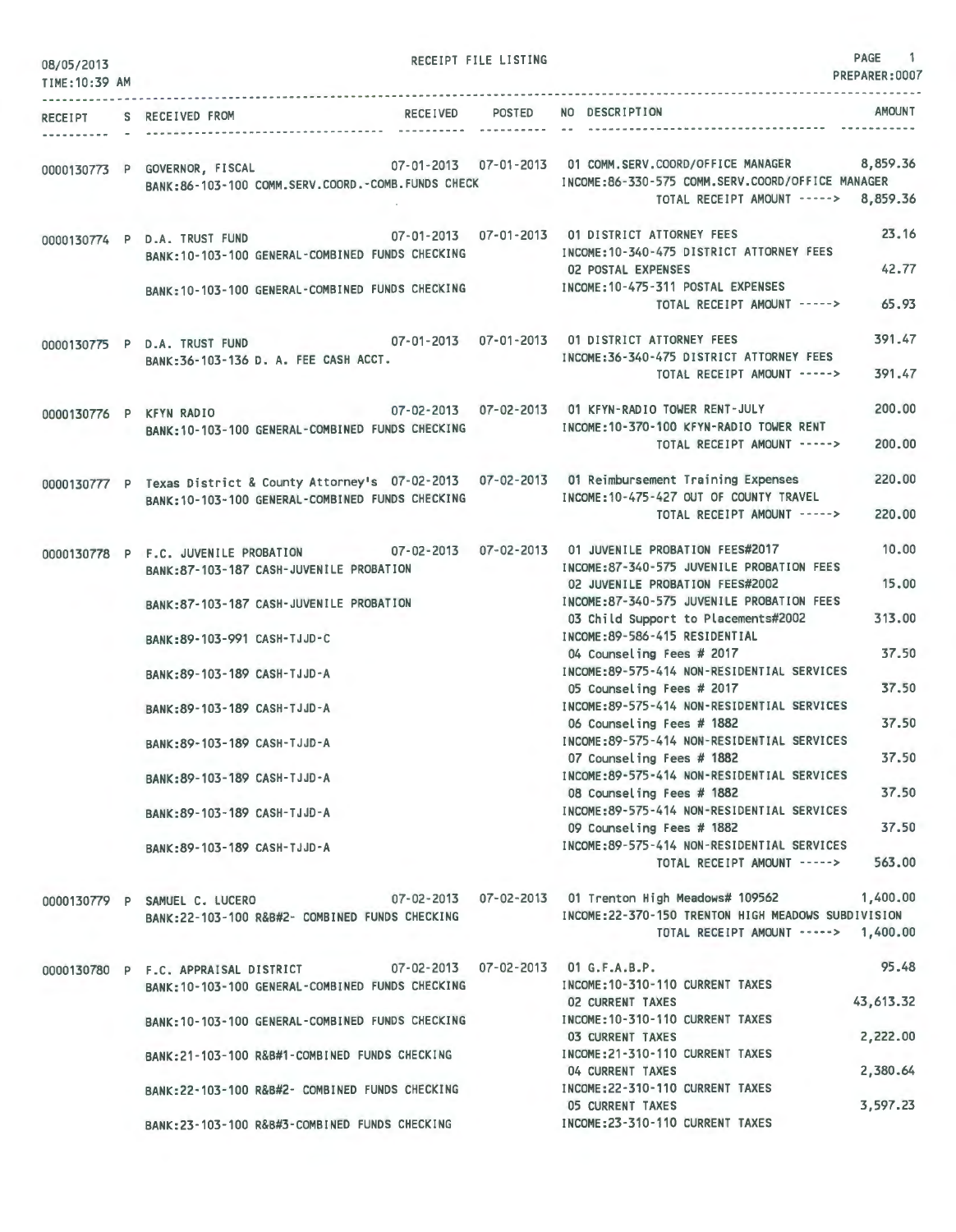| 08/05/2013<br>TIME: 10:39 AM |                                                              |                                                                                                                                  | RECEIPT FILE LISTING |                                                                                                                                                                                                                                              | PAGE 1<br>PREPARER: 0007 |
|------------------------------|--------------------------------------------------------------|----------------------------------------------------------------------------------------------------------------------------------|----------------------|----------------------------------------------------------------------------------------------------------------------------------------------------------------------------------------------------------------------------------------------|--------------------------|
|                              |                                                              |                                                                                                                                  |                      |                                                                                                                                                                                                                                              |                          |
|                              | RECEIPT S RECEIVED FROM                                      | RECEIVED POSTED                                                                                                                  |                      | NO DESCRIPTION                                                                                                                                                                                                                               | AMOUNT                   |
|                              |                                                              |                                                                                                                                  |                      | 0000130773 P GOVERNOR, FISCAL 07-01-2013 07-01-2013 01 COMM.SERV.COORD/OFFICE MANAGER 8,859.36<br>BANK:86-103-100 COMM.SERV.COORD.-COMB.FUNDS CHECK INCOME:86-330-575 COMM.SERV.COORD/OFFICE MANAGER<br>TOTAL RECEIPT AMOUNT -----> 8,859.36 |                          |
|                              | 0000130774 P D.A. TRUST FUND                                 | and the state of the state of<br>BANK: 10-103-100 GENERAL-COMBINED FUNDS CHECKING                                                |                      | 07-01-2013  07-01-2013  01 DISTRICT ATTORNEY FEES<br>INCOME:10-340-475 DISTRICT ATTORNEY FEES<br>02 POSTAL EXPENSES                                                                                                                          | 23.16<br>42.77           |
|                              |                                                              | BANK: 10-103-100 GENERAL-COMBINED FUNDS CHECKING                                                                                 |                      | INCOME: 10-475-311 POSTAL EXPENSES<br>TOTAL RECEIPT AMOUNT ----->                                                                                                                                                                            | 65.93                    |
|                              |                                                              | 0000130775 P D.A. TRUST FUND 07-01-2013 07-01-2013 07-01-2013 01 DISTRICT ATTORNEY FEES<br>BANK: 36-103-136 D. A. FEE CASH ACCT. |                      | INCOME: 36-340-475 DISTRICT ATTORNEY FEES<br>TOTAL RECEIPT AMOUNT ----->                                                                                                                                                                     | 391.47<br>391.47         |
|                              |                                                              | 0000130776 P KFYN RADIO 07-02-2013 07-02-2013 01 KFYN-RADIO TOWER RENT-JULY<br>BANK:10-103-100 GENERAL-COMBINED FUNDS CHECKING   |                      | INCOME: 10-370-100 KFYN-RADIO TOWER RENT<br>TOTAL RECEIPT AMOUNT ----->                                                                                                                                                                      | 200,00<br>200.00         |
|                              |                                                              | BANK: 10-103-100 GENERAL-COMBINED FUNDS CHECKING                                                                                 |                      | 0000130777 P Texas District & County Attorney's 07-02-2013 07-02-2013 01 Reimbursement Training Expenses<br>INCOME: 10-475-427 OUT OF COUNTY TRAVEL<br>TOTAL RECEIPT AMOUNT ----->                                                           | 220,00<br>220,00         |
|                              |                                                              | BANK:87-103-187 CASH-JUVENILE PROBATION                                                                                          |                      | 0000130778 P F.C. JUVENILE PROBATION 07-02-2013 07-02-2013 01 JUVENILE PROBATION FEES#2017<br>INCOME:87-340-575 JUVENILE PROBATION FEES                                                                                                      | 10.00                    |
|                              |                                                              | BANK:87-103-187 CASH-JUVENILE PROBATION                                                                                          |                      | 02 JUVENILE PROBATION FEES#2002<br>INCOME:87-340-575 JUVENILE PROBATION FEES<br>03 Child Support to Placements#2002                                                                                                                          | 15.00<br>313.00          |
|                              | BANK: 89-103-991 CASH-TJJD-C                                 |                                                                                                                                  |                      | INCOME: 89-586-415 RESIDENTIAL<br>04 Counseling Fees # 2017                                                                                                                                                                                  | 37.50                    |
|                              | BANK: 89-103-189 CASH-TJJD-A                                 |                                                                                                                                  |                      | INCOME: 89-575-414 NON-RESIDENTIAL SERVICES<br>05 Counseling Fees # 2017                                                                                                                                                                     | 37.50                    |
|                              | BANK: 89-103-189 CASH-TJJD-A<br>BANK: 89-103-189 CASH-TJJD-A |                                                                                                                                  |                      | INCOME:89-575-414 NON-RESIDENTIAL SERVICES<br>06 Counseling Fees # 1882<br>INCOME: 89-575-414 NON-RESIDENTIAL SERVICES                                                                                                                       | 37.50                    |
|                              | BANK: 89-103-189 CASH-TJJD-A                                 |                                                                                                                                  |                      | 07 Counseling Fees # 1882<br>INCOME:89-575-414 NON-RESIDENTIAL SERVICES                                                                                                                                                                      | 37.50                    |
|                              | BANK: 89-103-189 CASH-TJJD-A                                 |                                                                                                                                  |                      | 08 Counseling Fees # 1882<br>INCOME: 89-575-414 NON-RESIDENTIAL SERVICES                                                                                                                                                                     | 37.50<br>37.50           |
|                              | BANK: 89-103-189 CASH-TJJD-A                                 |                                                                                                                                  |                      | 09 Counseling Fees # 1882<br>INCOME: 89-575-414 NON-RESIDENTIAL SERVICES<br>TOTAL RECEIPT AMOUNT ----->                                                                                                                                      | 563.00                   |
|                              |                                                              | BANK:22-103-100 R&B#2- COMBINED FUNDS CHECKING                                                                                   |                      | 0000130779 P SAMUEL C. LUCERO 67-02-2013 07-02-2013 07-02-2013 01 Trenton High Meadows# 109562<br>INCOME: 22-370-150 TRENTON HIGH MEADOWS SUBDIVISION<br>TOTAL RECEIPT AMOUNT -----> 1,400.00                                                | 1,400.00                 |
|                              | 0000130780 P F.C. APPRAISAL DISTRICT                         | BANK: 10-103-100 GENERAL-COMBINED FUNDS CHECKING                                                                                 |                      | 07-02-2013  07-02-2013  01 G.F.A.B.P.<br>INCOME: 10-310-110 CURRENT TAXES                                                                                                                                                                    | 95.48                    |
|                              |                                                              | BANK: 10-103-100 GENERAL-COMBINED FUNDS CHECKING                                                                                 |                      | 02 CURRENT TAXES<br>INCOME: 10-310-110 CURRENT TAXES                                                                                                                                                                                         | 43,613.32                |
|                              |                                                              | BANK: 21-103-100 R&B#1-COMBINED FUNDS CHECKING                                                                                   |                      | <b>03 CURRENT TAXES</b><br>INCOME: 21-310-110 CURRENT TAXES<br>04 CURRENT TAXES                                                                                                                                                              | 2,222.00<br>2,380.64     |
|                              |                                                              | BANK: 22-103-100 R&B#2- COMBINED FUNDS CHECKING                                                                                  |                      | INCOME: 22-310-110 CURRENT TAXES<br>05 CURRENT TAXES                                                                                                                                                                                         | 3,597.23                 |
|                              |                                                              | BANK:23-103-100 R&B#3-COMBINED FUNDS CHECKING                                                                                    |                      | INCOME: 23-310-110 CURRENT TAXES                                                                                                                                                                                                             |                          |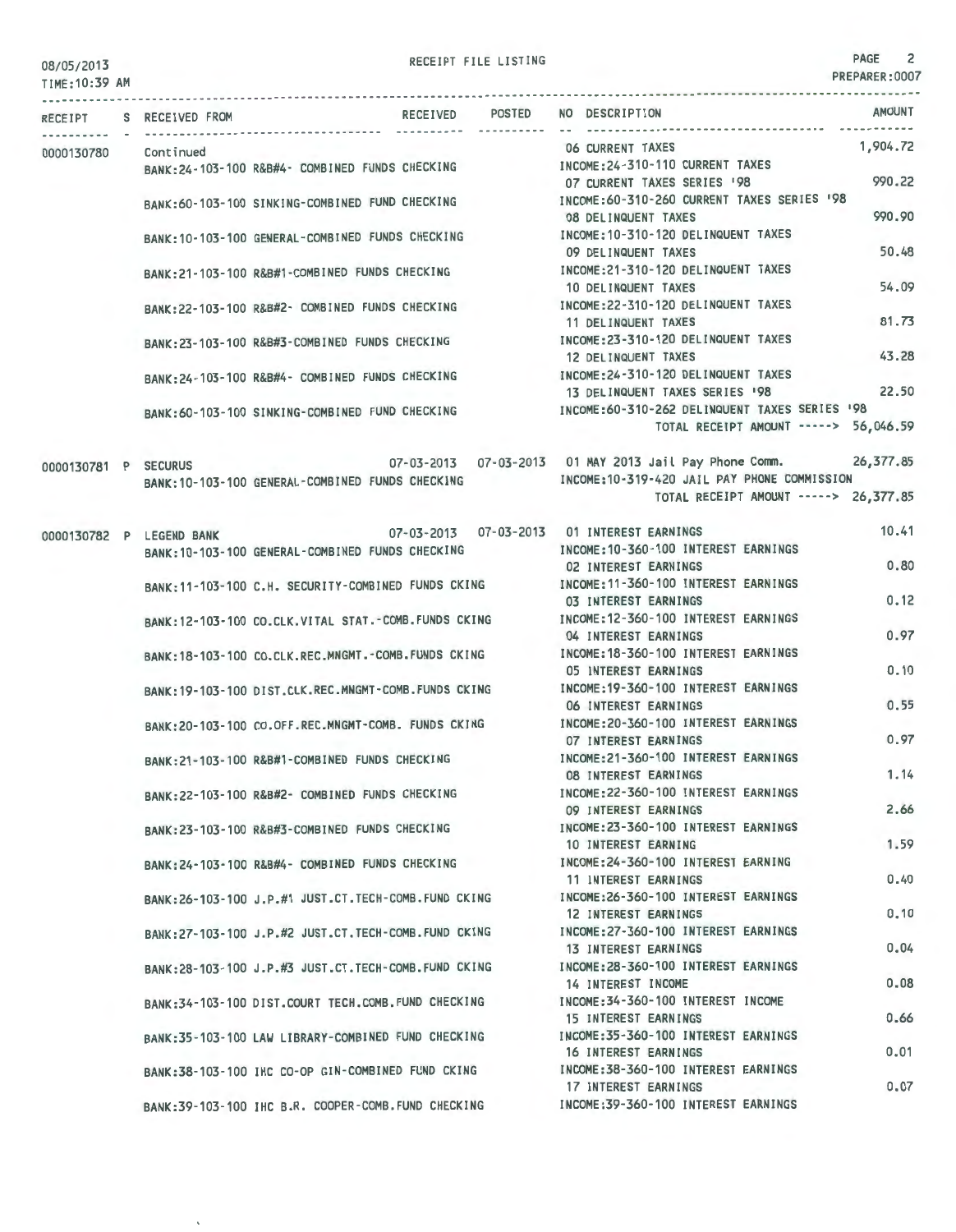### TIME:10:39 AM

 $\ddot{\phantom{a}}$ 

RECEIPT FILE LISTING **PAGE** 2

PREPARER:0007

|                      | RECEIPT S RECEIVED FROM  |                                                      | RECEIVED POSTED<br>------- ---------- | NO DESCRIPTION                                                                                            | <b>AMOUNT</b> |
|----------------------|--------------------------|------------------------------------------------------|---------------------------------------|-----------------------------------------------------------------------------------------------------------|---------------|
| 0000130780 Continued |                          |                                                      |                                       | 06 CURRENT TAXES                                                                                          | 1,904.72      |
|                      |                          | BANK:24-103-100 R&B#4- COMBINED FUNDS CHECKING       |                                       | INCOME: 24-310-110 CURRENT TAXES<br>07 CURRENT TAXES SERIES '98                                           | 990.22        |
|                      |                          | BANK:60-103-100 SINKING-COMBINED FUND CHECKING       |                                       | INCOME:60-310-260 CURRENT TAXES SERIES '98<br><b>08 DELINQUENT TAXES</b>                                  | 990.90        |
|                      |                          | BANK: 10-103-100 GENERAL-COMBINED FUNDS CHECKING     |                                       | INCOME: 10-310-120 DELINQUENT TAXES                                                                       |               |
|                      |                          | BANK:21-103-100 R&B#1-COMBINED FUNDS CHECKING        |                                       | 09 DELINQUENT TAXES<br>INCOME:21-310-120 DELINQUENT TAXES                                                 | 50.48         |
|                      |                          | BANK:22-103-100 R&B#2- COMBINED FUNDS CHECKING       |                                       | 10 DELINQUENT TAXES<br>INCOME:22-310-120 DELINQUENT TAXES                                                 | 54.09         |
|                      |                          |                                                      |                                       | 11 DELINQUENT TAXES                                                                                       | 81.73         |
|                      |                          | BANK: 23-103-100 R&B#3-COMBINED FUNDS CHECKING       |                                       | INCOME: 23-310-120 DELINQUENT TAXES<br>12 DELINQUENT TAXES                                                | 43.28         |
|                      |                          | BANK:24-103-100 R&B#4- COMBINED FUNDS CHECKING       |                                       | INCOME: 24-310-120 DELINQUENT TAXES<br>13 DELINQUENT TAXES SERIES '98                                     | 22.50         |
|                      |                          | BANK:60-103-100 SINKING-COMBINED FUND CHECKING       |                                       | INCOME:60-310-262 DELINQUENT TAXES SERIES '98                                                             |               |
|                      |                          |                                                      |                                       | TOTAL RECEIPT AMOUNT -----> 56,046.59                                                                     |               |
| 0000130781 P SECURUS |                          | BANK: 10-103-100 GENERAL-COMBINED FUNDS CHECKING     |                                       | 07-03-2013  07-03-2013  01 MAY 2013  Jail Pay Phone Comm.<br>INCOME: 10-319-420 JAIL PAY PHONE COMMISSION | 26,377.85     |
|                      |                          |                                                      |                                       | TOTAL RECEIPT AMOUNT -----> 26,377.85                                                                     |               |
|                      | 0000130782 P LEGEND BANK |                                                      |                                       | 07-03-2013  07-03-2013  01 INTEREST EARNINGS                                                              | 10.41         |
|                      |                          | BANK: 10-103-100 GENERAL-COMBINED FUNDS CHECKING     |                                       | INCOME: 10-360-100 INTEREST EARNINGS<br><b>02 INTEREST EARNINGS</b>                                       | 0.80          |
|                      |                          | BANK: 11-103-100 C.H. SECURITY-COMBINED FUNDS CKING  |                                       | INCOME: 11-360-100 INTEREST EARNINGS                                                                      |               |
|                      |                          | BANK:12-103-100 CO.CLK.VITAL STAT.-COMB.FUNDS CKING  |                                       | 03 INTEREST EARNINGS<br>INCOME: 12-360-100 INTEREST EARNINGS                                              | 0.12          |
|                      |                          | BANK:18-103-100 CO.CLK.REC.MNGMT.-COMB.FUNDS CKING   |                                       | 04 INTEREST EARNINGS<br>INCOME: 18-360-100 INTEREST EARNINGS                                              | 0.97          |
|                      |                          |                                                      |                                       | 05 INTEREST EARNINGS                                                                                      | 0.10          |
|                      |                          | BANK: 19-103-100 DIST.CLK.REC.MNGMT-COMB.FUNDS CKING |                                       | INCOME: 19-360-100 INTEREST EARNINGS<br>06 INTEREST EARNINGS                                              | 0.55          |
|                      |                          | BANK:20-103-100 CO.OFF.REC.MNGMT-COMB. FUNDS CKING   |                                       | INCOME: 20-360-100 INTEREST EARNINGS<br><b>07 INTEREST EARNINGS</b>                                       | 0.97          |
|                      |                          | BANK:21-103-100 R&B#1-COMBINED FUNDS CHECKING        |                                       | INCOME: 21-360-100 INTEREST EARNINGS                                                                      |               |
|                      |                          | BANK:22-103-100 R&B#2- COMBINED FUNDS CHECKING       |                                       | <b>08 INTEREST EARNINGS</b><br>INCOME: 22-360-100 INTEREST EARNINGS                                       | 1.14          |
|                      |                          | BANK:23-103-100 R&B#3-COMBINED FUNDS CHECKING        |                                       | 09 INTEREST EARNINGS<br>INCOME: 23-360-100 INTEREST EARNINGS                                              | 2.66          |
|                      |                          |                                                      |                                       | 10 INTEREST EARNING                                                                                       | 1.59          |
|                      |                          | BANK: 24-103-100 R&B#4- COMBINED FUNDS CHECKING      |                                       | INCOME: 24-360-100 INTEREST EARNING<br>11 INTEREST EARNINGS                                               | 0.40          |
|                      |                          | BANK:26-103-100 J.P.#1 JUST.CT.TECH-COMB.FUND CKING  |                                       | INCOME: 26-360-100 INTEREST EARNINGS<br>12 INTEREST EARNINGS                                              | 0.10          |
|                      |                          | BANK:27-103-100 J.P.#2 JUST.CT.TECH-COMB.FUND CKING  |                                       | INCOME: 27-360-100 INTEREST EARNINGS                                                                      |               |
|                      |                          | BANK:28-103-100 J.P.#3 JUST.CT.TECH-COMB.FUND CKING  |                                       | <b>13 INTEREST EARNINGS</b><br>INCOME: 28-360-100 INTEREST EARNINGS                                       | 0.04          |
|                      |                          | BANK:34-103-100 DIST.COURT TECH.COMB.FUND CHECKING   |                                       | 14 INTEREST INCOME<br>INCOME: 34-360-100 INTEREST INCOME                                                  | 0.08          |
|                      |                          |                                                      |                                       | <b>15 INTEREST EARNINGS</b>                                                                               | 0.66          |
|                      |                          | BANK:35-103-100 LAW LIBRARY-COMBINED FUND CHECKING   |                                       | INCOME: 35-360-100 INTEREST EARNINGS<br>16 INTEREST EARNINGS                                              | 0.01          |
|                      |                          | BANK:38-103-100 IHC CO-OP GIN-COMBINED FUND CKING    |                                       | INCOME: 38-360-100 INTEREST EARNINGS<br>17 INTEREST EARNINGS                                              | 0.07          |
|                      |                          | BANK: 39-103-100 IHC B.R. COOPER-COMB. FUND CHECKING |                                       | INCOME: 39-360-100 INTEREST EARNINGS                                                                      |               |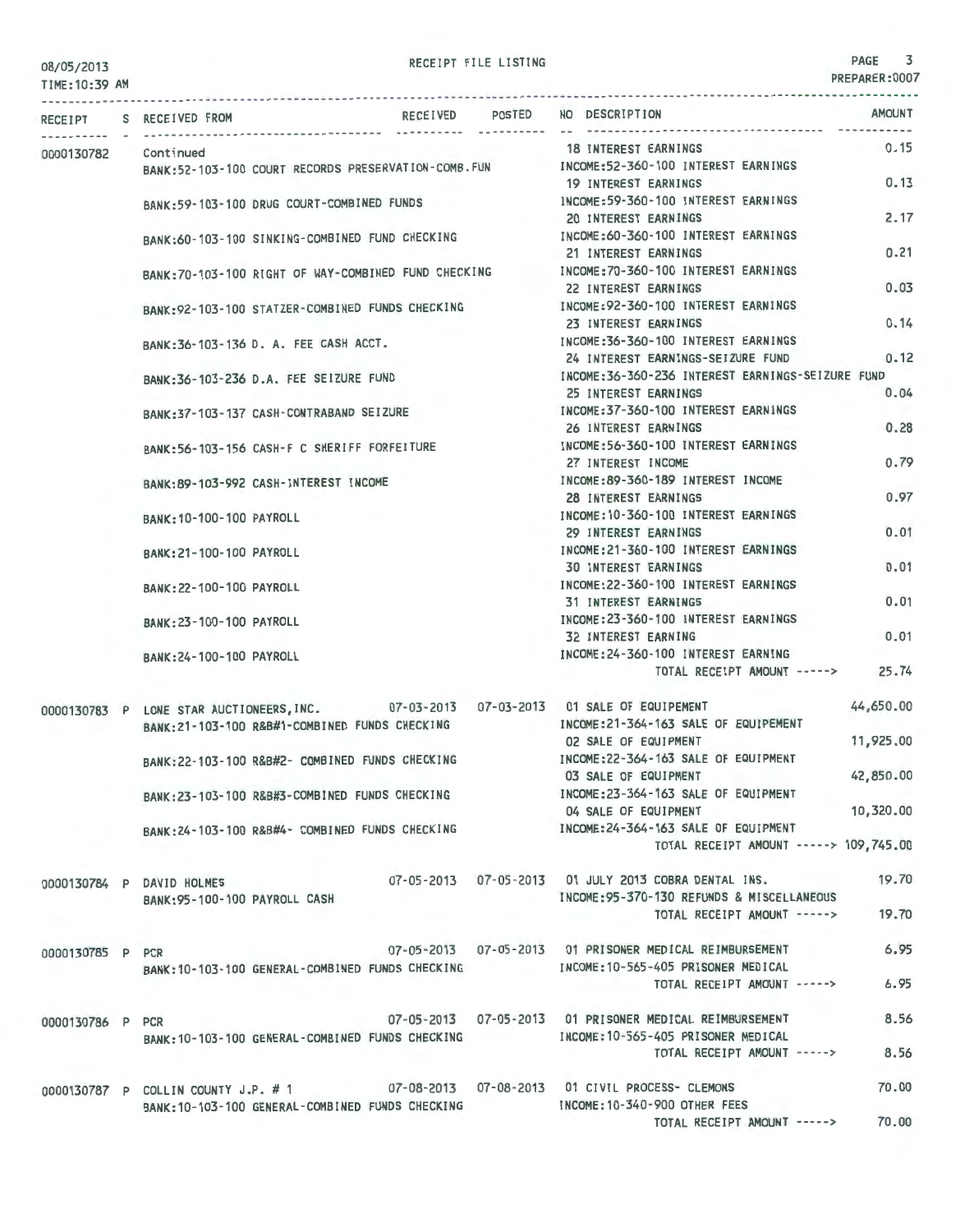PREPARER:0007

TIME: 1 0:39 AM --------------------------- ------------------------------------------------------------------------------- ----------------------- RECEIPT S RECEIVED FROM RECEIVED POSTED NO DESCRIPTION AMOUNT 0000130782 Continued BANK:52-103-100 COURT RECORDS PRESERVATION-COMB-FUN BANK:59-103-100 DRUG COURT-COMBINED FUNDS BANK:60-103-100 SINKING-COMBINED FUND CHECKING BANK:70-103-100 RIGHT OF WAY-COMBINED FUND CHECKING BANK:92-103-100 STATZER-COMBINED FUNDS CHECKING BANK:36-103-136 D. A. FEE CASH ACCT. BANK:36-103-236 D.A- FEE SEIZURE FUND BANK:37-103-137 CASH-CONTRABAND SEIZURE BANK:56-103-156 CASH-F C SHERIFF FORFEITURE BANK:89-103-992 CASH-INTEREST INCOME BANK:10-100-100 PAYROLL BANK:21-100-100 PAYROLL BANK:22-100-100 PAYROLL BANK:23-100-100 PAYROLL BANK:24-100-100 PAYROLL 18 INTEREST EARNINGS INCOME:52-360-100 INTEREST EARNINGS 19 INTEREST EARNINGS INCOME:59-360-100 INTEREST EARNINGS 20 INTEREST EARNINGS INCOME:60-360-100 INTEREST EARNINGS 21 INTEREST EARNINGS INCOME:70 -360-100 INTEREST EARNINGS 22 INTEREST EARNINGS INCOME:92-360-100 INTEREST EARNINGS 23 INTEREST EARNINGS INCOME:36-360-100 INTEREST EARNINGS 24 INTEREST EARNINGS-SEIZURE FUND INCOME:36-360-236 INTEREST EARNINGS-SEIZURE FUND  $0.15$ 0\_13 2.17 0.21 0.03 0.14 0\_12 25 INTEREST EARNINGS 0.04 INCOME:37-360-100 INTEREST EARNINGS 26 INTEREST EARNINGS INCOME:56-360-100 INTEREST EARNINGS 27 INTEREST INCOME INCOME:89-360-189 INTEREST INCOME 28 INTEREST EARNINGS INCOME:10-360-100 INTEREST EARNINGS 29 INTEREST EARNINGS INCOME:21-360-100 INTEREST EARNINGS 30 INTEREST EARNINGS INCOME:22-360-100 INTEREST EARNINGS 31 INTEREST EARNINGS INCOME:23-360-100 INTEREST EARNINGS 32 INTEREST EARNING INCOME:24-360-100 INTEREST EARNING 0.28 0.79 0.97 0.01 0.01 0.01 0.01 TOTAL RECEIPT AMOUNT -----> 25.74 0000130783 P LONE STAR AUCTIONEERS, INC. 07-03-2013 07-03-2013 01 SALE OF EQUIPEMENT 44,650.00<br>DANK:21-103-100 PRR#1-COMRINED FUNDS CHECKING INCOME:21-364-163 SALE OF EQUIPEMENT 0000130784 p 0000130785 p 0000130786 P PCR 0000130787 P COLLIN COUNTY J.P. # 1 BANK:21-103-100 R&B#1-COMBINED FUNDS CHECKING BANK:22-103-100 R&B#2- COMBINED FUNDS CHECKING BANK:23-103-100 R&B#3-COMBINED FUNDS CHECKING BANK:24-103-100 R&B#4- COMBINED FUNDS CHECKING DAVID HOLMES 07-05-2013 07-05-2013 01 JULY 2013 COBRA DENTAL INS. BANK:95-100-100 PAYROLL CASH PCR 07-05-2013 07-05-2013 01 PRISONER MEDICAL REIMBURSEMENT BANK: 10-103-100 GENERAL-COMBINED FUNDS CHECKING INCOME:10-565-405 PRISONER MEDICAL PCR 07-05 -2013 07-05-2013 01 PRISONER MEDICAL REIMBURSEMENT BANK:10-103-100 GENERAL-COMBINED FUNDS CHECKING INCOME:10-565-405 PRISONER MEDICAL COLLIN COUNTY J.P. # 1 07-08-2013 07-08-2013 01 CIVIL PROCESS- CLEMONS BANK:10-103-100 GENERAL-COMBINED FUNDS CHECKING 02 SALE OF EQUIPMENT INCOME:22-364-163 SALE OF EQUIPMENT 03 SALE OF EQUIPMENT JNCOME:23-364-163 SALE OF EQUIPMENT 04 SALE OF EQUIPMENT INCOME:24-364-163 SALE OF EQUIPMENT TOTAL RECEIPT AMOUNT -----> 109,745.00 INCOME:95-370-130 REFUNDS & MISCELLANEOUS TOTAL RECEIPT AMOUNT -----> TOTAL RECEIPT AMOUNT -----> TOTAL RECEIPT AMOUNT -----> INCOME:10-340-900 OTHER FEES TOTAL RECEIPT AMOUNT -----> 11,925.00 42,850.00 10,320.00 19.70 19.70 6.95 6.95 8.56 8.56 70.00 70.00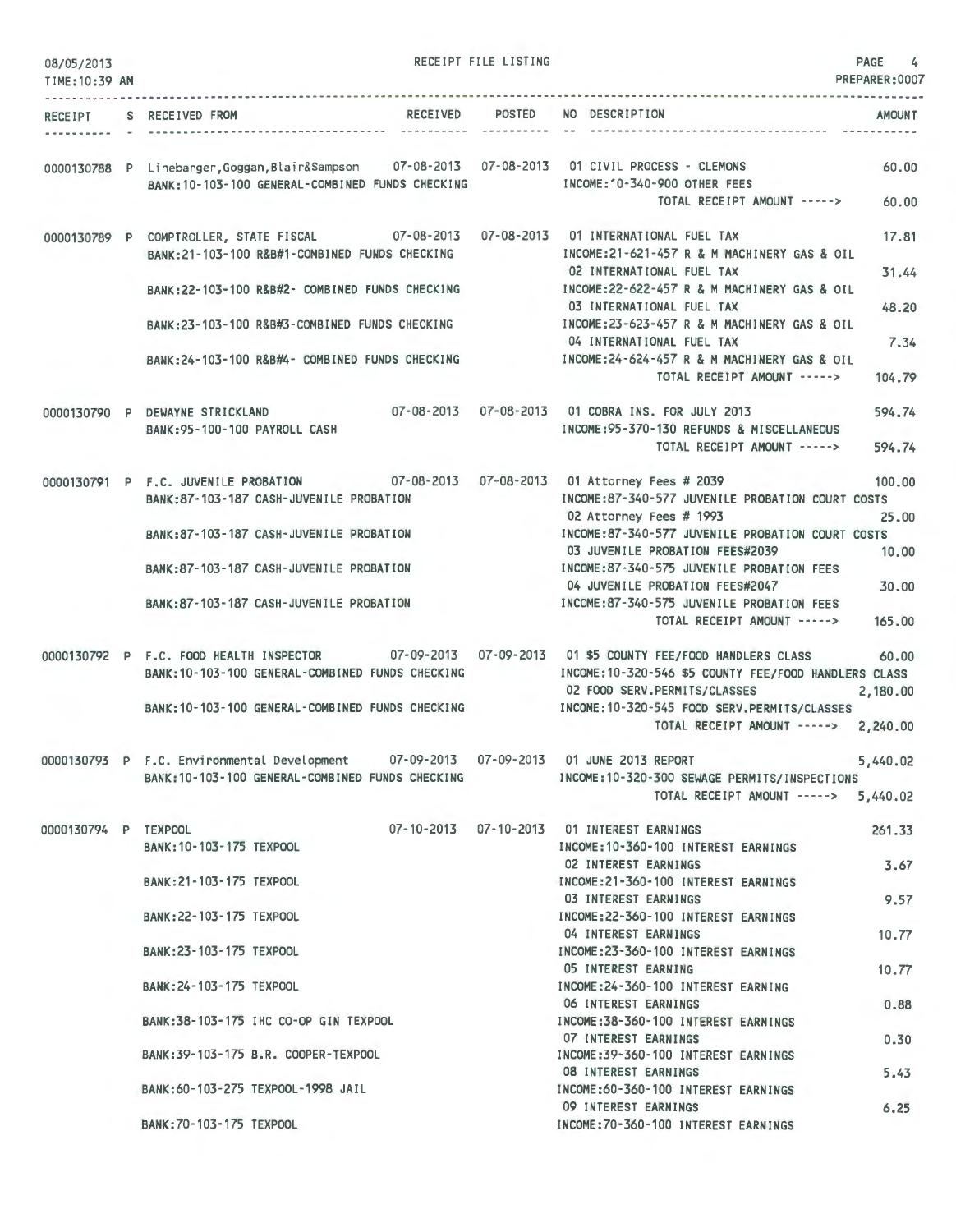| 08/05/2013<br>TIME: 10:39 AM   |                                                                                                                                                     | RECEIPT FILE LISTING |                                                                                                                                                          | PAGE<br>4<br>PREPARER:0007 |
|--------------------------------|-----------------------------------------------------------------------------------------------------------------------------------------------------|----------------------|----------------------------------------------------------------------------------------------------------------------------------------------------------|----------------------------|
| --------------<br>RECEIPT<br>. | RECEIVED<br>S RECEIVED FROM                                                                                                                         | POSTED               | NO DESCRIPTION                                                                                                                                           | <b>AMOUNT</b>              |
|                                | 0000130788 P Linebarger, Goggan, Blair&Sampson 07-08-2013 07-08-2013 01 CIVIL PROCESS - CLEMONS<br>BANK: 10-103-100 GENERAL-COMBINED FUNDS CHECKING |                      | INCOME: 10-340-900 OTHER FEES<br>TOTAL RECEIPT AMOUNT ----->                                                                                             | 60.00<br>60.00             |
|                                | 0000130789 P COMPTROLLER, STATE FISCAL<br>BANK: 21-103-100 R&B#1-COMBINED FUNDS CHECKING                                                            |                      | INCOME:21-621-457 R & M MACHINERY GAS & OIL                                                                                                              | 17.81                      |
|                                | BANK:22-103-100 R&B#2- COMBINED FUNDS CHECKING                                                                                                      |                      | 02 INTERNATIONAL FUEL TAX<br>INCOME:22-622-457 R & M MACHINERY GAS & OIL<br>03 INTERNATIONAL FUEL TAX                                                    | 31.44<br>48.20             |
|                                | BANK:23-103-100 R&B#3-COMBINED FUNDS CHECKING                                                                                                       |                      | INCOME: 23-623-457 R & M MACHINERY GAS & OIL<br>04 INTERNATIONAL FUEL TAX                                                                                | 7,34                       |
|                                | BANK: 24-103-100 R&B#4- COMBINED FUNDS CHECKING                                                                                                     |                      | INCOME: 24-624-457 R & M MACHINERY GAS & OIL<br>TOTAL RECEIPT AMOUNT ----->                                                                              | 104.79                     |
|                                | 0000130790 P DEWAYNE STRICKLAND<br>BANK: 95-100-100 PAYROLL CASH                                                                                    |                      | INCOME: 95-370-130 REFUNDS & MISCELLANEOUS<br>TOTAL RECEIPT AMOUNT ----->                                                                                | 594.74<br>594.74           |
|                                | 0000130791 P F.C. JUVENILE PROBATION<br>BANK: 87-103-187 CASH-JUVENILE PROBATION                                                                    |                      | 07-08-2013  07-08-2013  01 Attorney Fees # 2039<br>INCOME:87-340-577 JUVENILE PROBATION COURT COSTS<br>02 Attorney Fees # 1993                           | 100.00<br>25.00            |
|                                | BANK: 87-103-187 CASH-JUVENILE PROBATION                                                                                                            |                      | INCOME:87-340-577 JUVENILE PROBATION COURT COSTS<br>03 JUVENILE PROBATION FEES#2039                                                                      | 10,00                      |
|                                | BANK:87-103-187 CASH-JUVENILE PROBATION                                                                                                             |                      | INCOME:87-340-575 JUVENILE PROBATION FEES<br>04 JUVENILE PROBATION FEES#2047                                                                             | 30,00                      |
|                                | BANK:87-103-187 CASH-JUVENILE PROBATION                                                                                                             |                      | INCOME:87-340-575 JUVENILE PROBATION FEES<br>TOTAL RECEIPT AMOUNT ----->                                                                                 | 165,00                     |
|                                | 0000130792 P F.C. FOOD HEALTH INSPECTOR<br>BANK: 10-103-100 GENERAL-COMBINED FUNDS CHECKING                                                         |                      | 07-09-2013  07-09-2013  01  \$5  COUNTY FEE/FOOD HANDLERS CLASS<br>INCOME: 10-320-546 \$5 COUNTY FEE/FOOD HANDLERS CLASS<br>02 FOOD SERV.PERMITS/CLASSES | 60.00<br>2,180.00          |
|                                | BANK: 10-103-100 GENERAL-COMBINED FUNDS CHECKING                                                                                                    |                      | INCOME:10-320-545 FOOD SERV.PERMITS/CLASSES<br>TOTAL RECEIPT AMOUNT ----->                                                                               | 2,240.00                   |
|                                | 0000130793 P F.C. Environmental Development 07-09-2013 07-09-2013 01 JUNE 2013 REPORT<br>BANK: 10-103-100 GENERAL-COMBINED FUNDS CHECKING           |                      | INCOME:10-320-300 SEWAGE PERMITS/INSPECTIONS<br>TOTAL RECEIPT AMOUNT -----> 5.440.02                                                                     | 5,440.02                   |
| 0000130794 P TEXPOOL           | BANK: 10-103-175 TEXPOOL                                                                                                                            |                      | 07-10-2013  07-10-2013  01 INTEREST EARNINGS<br>INCOME: 10-360-100 INTEREST EARNINGS                                                                     | 261.33                     |
|                                | BANK: 21-103-175 TEXPOOL                                                                                                                            |                      | 02 INTEREST EARNINGS<br>INCOME:21-360-100 INTEREST EARNINGS                                                                                              | 3.67                       |
|                                | BANK: 22-103-175 TEXPOOL                                                                                                                            |                      | 03 INTEREST EARNINGS<br>INCOME: 22-360-100 INTEREST EARNINGS<br>04 INTEREST EARNINGS                                                                     | 9.57                       |
|                                | BANK: 23-103-175 TEXPOOL                                                                                                                            |                      | INCOME: 23-360-100 INTEREST EARNINGS<br>05 INTEREST EARNING                                                                                              | 10.77<br>10.77             |
|                                | BANK: 24-103-175 TEXPOOL                                                                                                                            |                      | INCOME: 24-360-100 INTEREST EARNING<br>06 INTEREST EARNINGS                                                                                              | 0.88                       |
|                                | BANK:38-103-175 IHC CO-OP GIN TEXPOOL                                                                                                               |                      | INCOME: 38-360-100 INTEREST EARNINGS<br><b>07 INTEREST EARNINGS</b>                                                                                      | 0.30                       |
|                                | BANK: 39-103-175 B.R. COOPER-TEXPOOL                                                                                                                |                      | INCOME: 39-360-100 INTEREST EARNINGS<br>08 INTEREST EARNINGS                                                                                             | 5.43                       |
|                                | BANK:60-103-275 TEXPOOL-1998 JAIL                                                                                                                   |                      | INCOME:60-360-100 INTEREST EARNINGS<br>09 INTEREST EARNINGS                                                                                              | 6.25                       |
|                                | BANK: 70-103-175 TEXPOOL                                                                                                                            |                      | INCOME: 70-360-100 INTEREST EARNINGS                                                                                                                     |                            |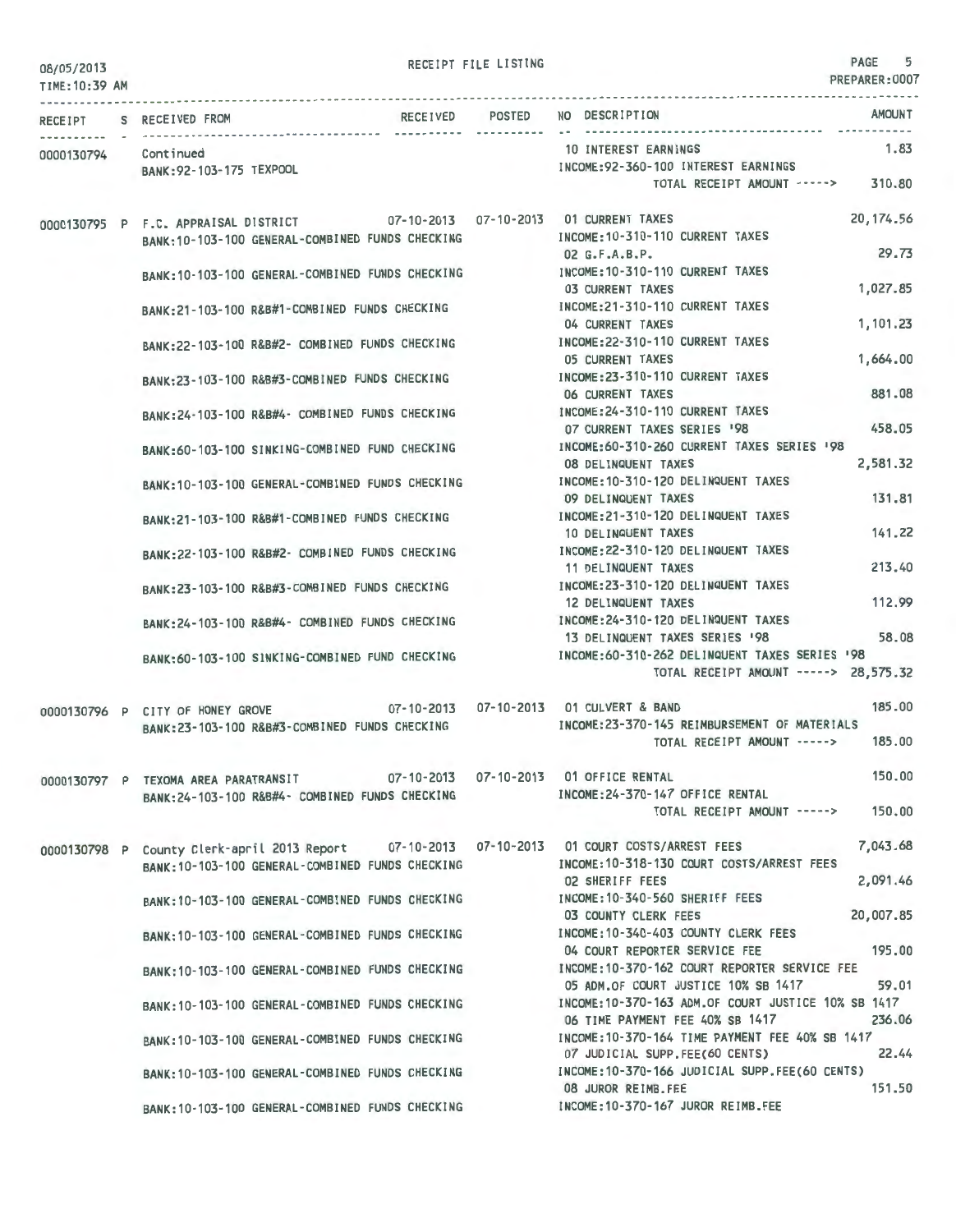RECEIPT FILE LISTING **PAGE** 5

| 08/05/2013<br>TIME: 10:39 AM |                                      |                                                  |                       | PREPARER: 0007                                                                                           |
|------------------------------|--------------------------------------|--------------------------------------------------|-----------------------|----------------------------------------------------------------------------------------------------------|
|                              | RECEIPT S RECEIVED FROM              | RECEIVED                                         | POSTED<br>----------- | <b>AMOUNT</b><br>NO DESCRIPTION                                                                          |
|                              | Continued                            |                                                  |                       | 1.83<br>10 INTEREST EARNINGS                                                                             |
| 0000130794                   | BANK: 92-103-175 TEXPOOL             |                                                  |                       | INCOME: 92-360-100 INTEREST EARNINGS                                                                     |
|                              |                                      |                                                  |                       | 310.80<br>TOTAL RECEIPT AMOUNT ----->                                                                    |
|                              | 0000130795 P F.C. APPRAISAL DISTRICT | 07-10-2013  07-10-2013  01 CURRENT TAXES         |                       | 20, 174.56                                                                                               |
|                              |                                      | BANK: 10-103-100 GENERAL-COMBINED FUNDS CHECKING |                       | INCOME: 10-310-110 CURRENT TAXES<br>29.73                                                                |
|                              |                                      |                                                  |                       | $02$ G.F.A.B.P.<br>INCOME: 10-310-110 CURRENT TAXES                                                      |
|                              |                                      | BANK: 10-103-100 GENERAL-COMBINED FUNDS CHECKING |                       | 1,027.85<br><b>03 CURRENT TAXES</b>                                                                      |
|                              |                                      | BANK: 21-103-100 R&B#1-COMBINED FUNDS CHECKING   |                       | INCOME: 21-310-110 CURRENT TAXES                                                                         |
|                              |                                      |                                                  |                       | 1,101.23<br>04 CURRENT TAXES                                                                             |
|                              |                                      | BANK:22-103-100 R&B#2- COMBINED FUNDS CHECKING   |                       | INCOME: 22-310-110 CURRENT TAXES                                                                         |
|                              |                                      |                                                  |                       | 1,664.00<br><b>05 CURRENT TAXES</b><br>INCOME: 23-310-110 CURRENT TAXES                                  |
|                              |                                      | BANK:23-103-100 R&B#3-COMBINED FUNDS CHECKING    |                       | 881.08<br>06 CURRENT TAXES                                                                               |
|                              |                                      | BANK:24-103-100 R&B#4- COMBINED FUNDS CHECKING   |                       | INCOME: 24-310-110 CURRENT TAXES                                                                         |
|                              |                                      |                                                  |                       | 458.05<br>07 CURRENT TAXES SERIES '98                                                                    |
|                              |                                      | BANK:60-103-100 SINKING-COMBINED FUND CHECKING   |                       | INCOME: 60-310-260 CURRENT TAXES SERIES '98                                                              |
|                              |                                      |                                                  |                       | 2,581.32<br>08 DELINQUENT TAXES                                                                          |
|                              |                                      | BANK:10-103-100 GENERAL-COMBINED FUNDS CHECKING  |                       | INCOME: 10-310-120 DELINQUENT TAXES<br>131.81<br>09 DELINQUENT TAXES                                     |
|                              |                                      | BANK:21-103-100 R&B#1-COMBINED FUNDS CHECKING    |                       | INCOME: 21-310-120 DELINQUENT TAXES                                                                      |
|                              |                                      |                                                  |                       | 141.22<br>10 DELINQUENT TAXES                                                                            |
|                              |                                      | BANK:22-103-100 R&B#2- COMBINED FUNDS CHECKING   |                       | INCOME: 22-310-120 DELINQUENT TAXES                                                                      |
|                              |                                      |                                                  |                       | 213.40<br>11 DELINQUENT TAXES                                                                            |
|                              |                                      | BANK:23-103-100 R&B#3-COMBINED FUNDS CHECKING    |                       | INCOME: 23-310-120 DELINQUENT TAXES<br>112.99                                                            |
|                              |                                      |                                                  |                       | 12 DELINQUENT TAXES<br>INCOME: 24-310-120 DELINQUENT TAXES                                               |
|                              |                                      | BANK:24-103-100 R&B#4- COMBINED FUNDS CHECKING   |                       | 58.08<br>13 DELINQUENT TAXES SERIES '98                                                                  |
|                              |                                      | BANK:60-103-100 SINKING-COMBINED FUND CHECKING   |                       | INCOME:60-310-262 DELINQUENT TAXES SERIES '98                                                            |
|                              |                                      |                                                  |                       | TOTAL RECEIPT AMOUNT -----> 28,575.32                                                                    |
|                              | 0000130796 P CITY OF HONEY GROVE     |                                                  |                       | 185.00<br>07-10-2013  07-10-2013  01 CULVERT & BAND                                                      |
|                              |                                      | BANK:23-103-100 R&B#3-COMBINED FUNDS CHECKING    |                       | INCOME: 23-370-145 REIMBURSEMENT OF MATERIALS                                                            |
|                              |                                      |                                                  |                       | 185.00<br>TOTAL RECEIPT AMOUNT ----->                                                                    |
|                              | 0000130797 P TEXOMA AREA PARATRANSIT |                                                  |                       | 150.00<br>07-10-2013  07-10-2013  01 OFFICE RENTAL                                                       |
|                              |                                      | BANK:24-103-100 R&B#4- COMBINED FUNDS CHECKING   |                       | INCOME: 24-370-147 OFFICE RENTAL                                                                         |
|                              |                                      |                                                  |                       | 150,00<br>TOTAL RECEIPT AMOUNT ----->                                                                    |
|                              |                                      |                                                  |                       | 7,043.68<br>0000130798 P County Clerk-april 2013 Report 07-10-2013 07-10-2013 01 COURT COSTS/ARREST FEES |
|                              |                                      | BANK:10-103-100 GENERAL-COMBINED FUNDS CHECKING  |                       | INCOME:10-318-130 COURT COSTS/ARREST FEES                                                                |
|                              |                                      |                                                  |                       | 2,091.46<br><b>02 SHERIFF FEES</b>                                                                       |
|                              |                                      | BANK: 10-103-100 GENERAL-COMBINED FUNDS CHECKING |                       | INCOME: 10-340-560 SHERIFF FEES                                                                          |
|                              |                                      |                                                  |                       | 20,007.85<br>03 COUNTY CLERK FEES                                                                        |
|                              |                                      | BANK: 10-103-100 GENERAL-COMBINED FUNDS CHECKING |                       | INCOME: 10-340-403 COUNTY CLERK FEES<br>195,00<br>04 COURT REPORTER SERVICE FEE                          |
|                              |                                      | BANK:10-103-100 GENERAL-COMBINED FUNDS CHECKING  |                       | INCOME: 10-370-162 COURT REPORTER SERVICE FEE                                                            |
|                              |                                      |                                                  |                       | 59.01<br>05 ADM.OF COURT JUSTICE 10% SB 1417                                                             |
|                              |                                      | BANK: 10-103-100 GENERAL-COMBINED FUNDS CHECKING |                       | INCOME:10-370-163 ADM.OF COURT JUSTICE 10% SB 1417                                                       |
|                              |                                      |                                                  |                       | 06 TIME PAYMENT FEE 40% SB 1417<br>236.06                                                                |
|                              |                                      | BANK:10-103-100 GENERAL-COMBINED FUNDS CHECKING  |                       | INCOME:10-370-164 TIME PAYMENT FEE 40% SB 1417<br>22.44<br>07 JUDICIAL SUPP.FEE(60 CENTS)                |
|                              |                                      | BANK: 10-103-100 GENERAL-COMBINED FUNDS CHECKING |                       | INCOME:10-370-166 JUDICIAL SUPP.FEE(60 CENTS)                                                            |
|                              |                                      |                                                  |                       | 151.50<br>08 JUROR REIMB.FEE                                                                             |
|                              |                                      | BANK: 10-103-100 GENERAL-COMBINED FUNDS CHECKING |                       | INCOME: 10-370-167 JUROR REIMB.FEE                                                                       |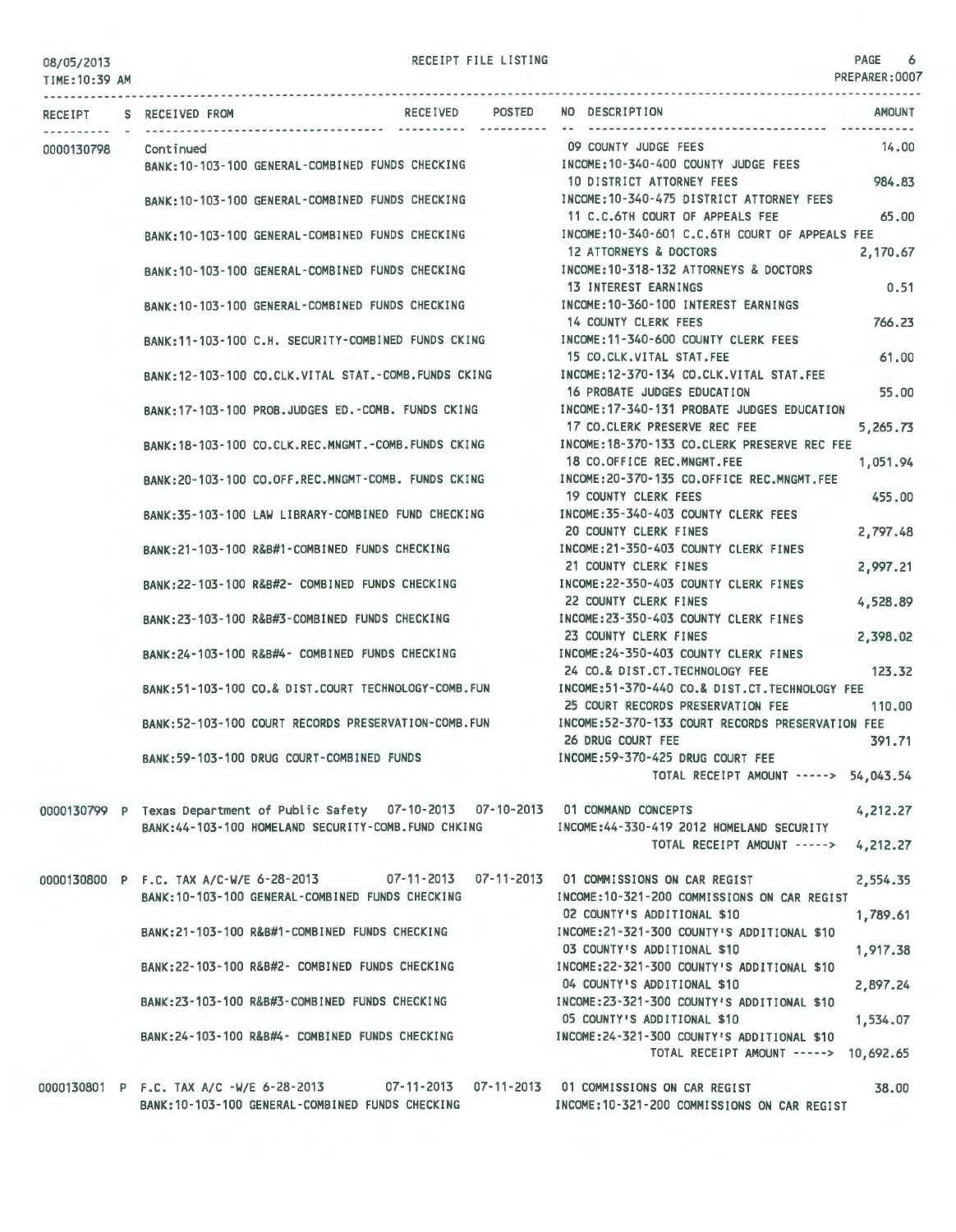| TIME: 10:39 AM |                                          |                                                      |          |               |                                                                                                                                      | PREPARER: 0007 |
|----------------|------------------------------------------|------------------------------------------------------|----------|---------------|--------------------------------------------------------------------------------------------------------------------------------------|----------------|
| <b>RECEIPT</b> | S RECEIVED FROM                          |                                                      | RECEIVED | <b>POSTED</b> | NO DESCRIPTION                                                                                                                       | <b>AMOUNT</b>  |
| 0000130798     | Continued                                |                                                      |          |               | 09 COUNTY JUDGE FEES<br>BANK:10-103-100 GENERAL-COMBINED FUNDS CHECKING NORTH INCOME:10-340-400 COUNTY JUDGE FEES                    | 14.00          |
|                |                                          | BANK: 10-103-100 GENERAL-COMBINED FUNDS CHECKING     |          |               | 10 DISTRICT ATTORNEY FEES<br>INCOME: 10-340-475 DISTRICT ATTORNEY FEES                                                               | 984.83         |
|                |                                          |                                                      |          |               | 11 C.C.6TH COURT OF APPEALS FEE<br>INCOME: 10-340-601 C.C.6TH COURT OF APPEALS FEE                                                   | 65,00          |
|                |                                          | BANK: 10-103-100 GENERAL-COMBINED FUNDS CHECKING     |          |               | 12 ATTORNEYS & DOCTORS                                                                                                               | 2,170.67       |
|                |                                          | BANK: 10-103-100 GENERAL-COMBINED FUNDS CHECKING     |          |               | INCOME: 10-318-132 ATTORNEYS & DOCTORS<br>13 INTEREST EARNINGS                                                                       | 0.51           |
|                |                                          | BANK: 10-103-100 GENERAL-COMBINED FUNDS CHECKING     |          |               | INCOME:10-360-100 INTEREST EARNINGS<br>14 COUNTY CLERK FEES                                                                          | 766.23         |
|                |                                          |                                                      |          |               | BANK:11-103-100 C.H. SECURITY-COMBINED FUNDS CKING MOOME:11-340-600 COUNTY CLERK FEES<br>15 CO.CLK.VITAL STAT.FEE                    | 61.00          |
|                |                                          | BANK: 12-103-100 CO.CLK.VITAL STAT.-COMB.FUNDS CKING |          |               | INCOME:12-370-134 CO.CLK.VITAL STAT.FEE                                                                                              |                |
|                |                                          | BANK: 17-103-100 PROB.JUDGES ED.-COMB. FUNDS CKING   |          |               | 16 PROBATE JUDGES EDUCATION<br>INCOME: 17-340-131 PROBATE JUDGES EDUCATION                                                           | 55.00          |
|                |                                          | BANK:18-103-100 CO.CLK.REC.MNGMT.-COMB.FUNDS CKING   |          |               | 17 CO.CLERK PRESERVE REC FEE<br>INCOME: 18-370-133 CO.CLERK PRESERVE REC FEE                                                         | 5,265.73       |
|                |                                          | BANK:20-103-100 CO.OFF.REC.MNGMT-COMB. FUNDS CKING   |          |               | 18 CO.OFFICE REC.MNGMT.FEE<br>INCOME: 20-370-135 CO.OFFICE REC.MNGMT.FEE                                                             | 1,051,94       |
|                |                                          | BANK:35-103-100 LAW LIBRARY-COMBINED FUND CHECKING   |          |               | <b>19 COUNTY CLERK FEES</b><br>INCOME: 35-340-403 COUNTY CLERK FEES                                                                  | 455,00         |
|                |                                          | BANK:21-103-100 R&B#1-COMBINED FUNDS CHECKING        |          |               | 20 COUNTY CLERK FINES<br>INCOME:21-350-403 COUNTY CLERK FINES                                                                        | 2,797.48       |
|                |                                          | BANK:22-103-100 R&B#2- COMBINED FUNDS CHECKING       |          |               | 21 COUNTY CLERK FINES<br>INCOME:22-350-403 COUNTY CLERK FINES                                                                        | 2,997.21       |
|                |                                          |                                                      |          |               | 22 COUNTY CLERK FINES                                                                                                                | 4,528.89       |
|                |                                          | BANK:23-103-100 R&B#3-COMBINED FUNDS CHECKING        |          |               | INCOME:23-350-403 COUNTY CLERK FINES<br>23 COUNTY CLERK FINES                                                                        | 2,398.02       |
|                |                                          | BANK:24-103-100 R&B#4- COMBINED FUNDS CHECKING       |          |               | INCOME:24-350-403 COUNTY CLERK FINES<br>24 CO.& DIST.CT. TECHNOLOGY FEE                                                              | 123.32         |
|                |                                          | BANK:51-103-100 CO.& DIST.COURT TECHNOLOGY-COMB.FUN  |          |               | INCOME:51-370-440 CO.& DIST.CT. TECHNOLOGY FEE<br>25 COURT RECORDS PRESERVATION FEE                                                  | 110,00         |
|                |                                          | BANK:52-103-100 COURT RECORDS PRESERVATION-COMB.FUN  |          |               | INCOME:52-370-133 COURT RECORDS PRESERVATION FEE<br>26 DRUG COURT FEE                                                                | 391.71         |
|                |                                          | BANK: 59-103-100 DRUG COURT-COMBINED FUNDS           |          |               | INCOME:59-370-425 DRUG COURT FEE                                                                                                     |                |
|                |                                          |                                                      |          |               | TOTAL RECEIPT AMOUNT -----> 54,043.54                                                                                                |                |
|                |                                          | BANK:44-103-100 HOMELAND SECURITY-COMB.FUND CHKING   |          |               | 0000130799 P Texas Department of Public Safety 07-10-2013 07-10-2013 01 COMMAND CONCEPTS<br>INCOME:44-330-419 2012 HOMELAND SECURITY | 4,212.27       |
|                |                                          |                                                      |          |               | TOTAL RECEIPT AMOUNT ----->                                                                                                          | 4,212.27       |
|                | 0000130800 P F.C. TAX A/C-W/E 6-28-2013  | BANK: 10-103-100 GENERAL-COMBINED FUNDS CHECKING     |          |               | 07-11-2013  07-11-2013  01 COMMISSIONS ON CAR REGIST<br>INCOME:10-321-200 COMMISSIONS ON CAR REGIST                                  | 2,554.35       |
|                |                                          |                                                      |          |               | 02 COUNTY'S ADDITIONAL \$10                                                                                                          | 1,789.61       |
|                |                                          | BANK:21-103-100 R&B#1-COMBINED FUNDS CHECKING        |          |               | INCOME:21-321-300 COUNTY'S ADDITIONAL \$10<br>03 COUNTY'S ADDITIONAL \$10                                                            | 1,917.38       |
|                |                                          | BANK: 22-103-100 R&B#2- COMBINED FUNDS CHECKING      |          |               | INCOME:22-321-300 COUNTY'S ADDITIONAL \$10<br>04 COUNTY'S ADDITIONAL \$10                                                            | 2,897.24       |
|                |                                          | BANK:23-103-100 R&B#3-COMBINED FUNDS CHECKING        |          |               | INCOME:23-321-300 COUNTY'S ADDITIONAL \$10<br>05 COUNTY'S ADDITIONAL \$10                                                            | 1,534.07       |
|                |                                          | BANK: 24-103-100 R&B#4- COMBINED FUNDS CHECKING      |          |               | INCOME:24-321-300 COUNTY'S ADDITIONAL \$10<br>TOTAL RECEIPT AMOUNT -----> 10,692.65                                                  |                |
|                | 0000130801 P F.C. TAX A/C -W/E 6-28-2013 |                                                      |          |               | 07-11-2013  07-11-2013  01 COMMISSIONS ON CAR REGIST                                                                                 | 38.00          |
|                |                                          |                                                      |          |               |                                                                                                                                      |                |

INCOME:10 -321 -200 COMMISSIONS ON CAR REGIST

BANK:10-103- 100 GENERAL-COMBINED FUNDS CHECKING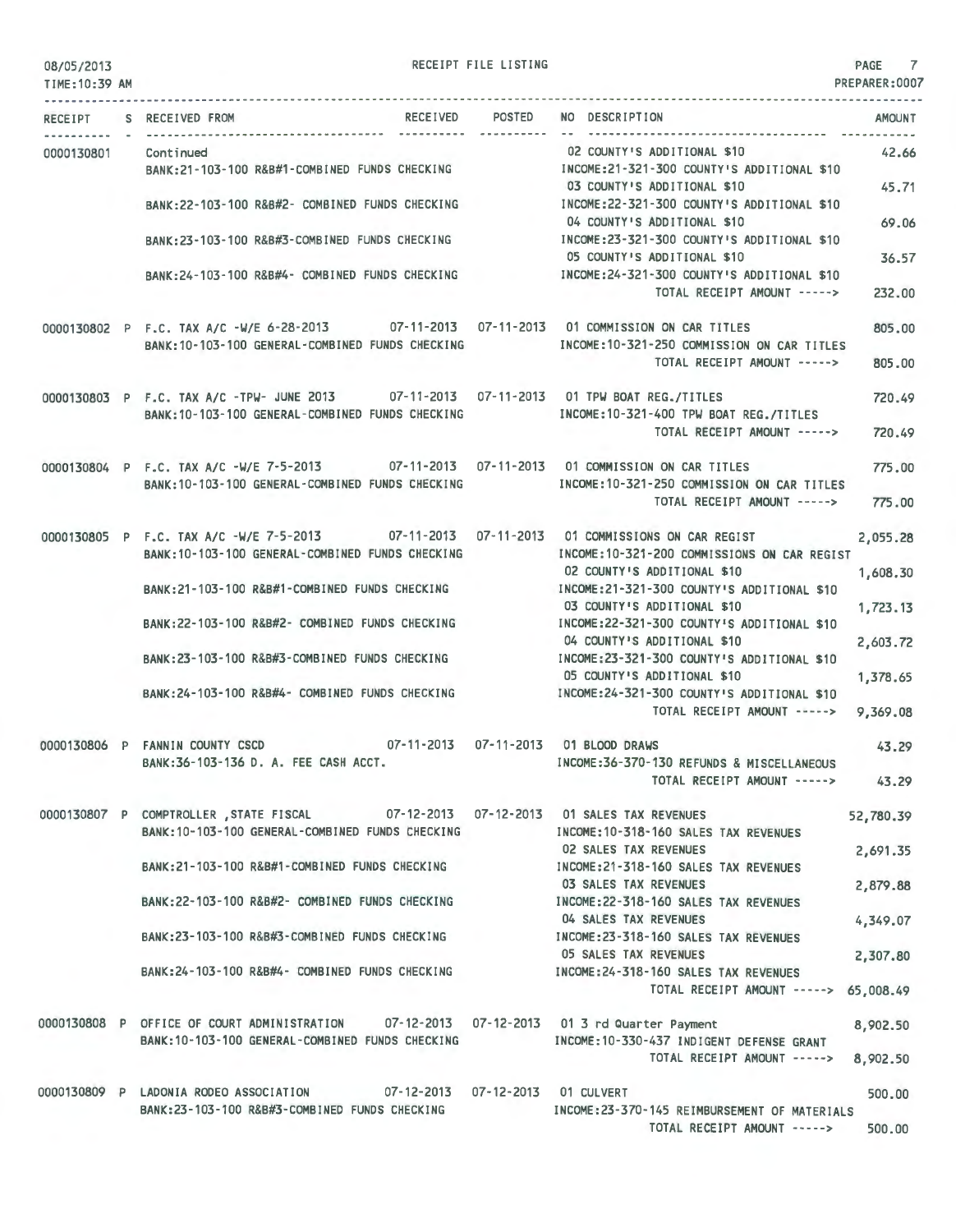RECEIPT FILE LISTING **PAGE** 7

PREPARER:0007

|            |                                                                                            | RECEIPT S RECEIVED FROM                                                                                                                      | -----------                                                                            | RECEIVED POSTED NO DESCRIPTION<br><b>AMOUNT</b>                                         |
|------------|--------------------------------------------------------------------------------------------|----------------------------------------------------------------------------------------------------------------------------------------------|----------------------------------------------------------------------------------------|-----------------------------------------------------------------------------------------|
| 0000130801 |                                                                                            | Continued<br>BANK:21-103-100 R&B#1-COMBINED FUNDS CHECKING                                                                                   |                                                                                        | 02 COUNTY'S ADDITIONAL \$10<br>42.66<br>INCOME:21-321-300 COUNTY'S ADDITIONAL \$10      |
|            |                                                                                            |                                                                                                                                              |                                                                                        | 45.71<br>03 COUNTY'S ADDITIONAL \$10                                                    |
|            |                                                                                            | BANK:22-103-100 R&B#2- COMBINED FUNDS CHECKING                                                                                               |                                                                                        | INCOME:22-321-300 COUNTY'S ADDITIONAL \$10<br>04 COUNTY'S ADDITIONAL \$10<br>69.06      |
|            |                                                                                            | BANK:23-103-100 R&B#3-COMBINED FUNDS CHECKING MANUSIC INCOME:23-321-300 COUNTY'S ADDITIONAL \$10                                             |                                                                                        | 05 COUNTY'S ADDITIONAL \$10<br>36.57                                                    |
|            |                                                                                            | BANK:24-103-100 R&B#4- COMBINED FUNDS CHECKING MANUSIC MECOME:24-321-300 COUNTY'S ADDITIONAL \$10                                            |                                                                                        | TOTAL RECEIPT AMOUNT -----><br>232.00                                                   |
|            |                                                                                            | 0000130802 P F.C. TAX A/C -W/E 6-28-2013 07-11-2013 07-11-2013 01 COMMISSION ON CAR TITLES                                                   |                                                                                        | 805,00                                                                                  |
|            |                                                                                            | BANK: 10-103-100 GENERAL-COMBINED FUNDS CHECKING                                                                                             |                                                                                        | INCOME:10-321-250 COMMISSION ON CAR TITLES<br>TOTAL RECEIPT AMOUNT -----><br>805.00     |
|            |                                                                                            | 0000130803 P F.C. TAX A/C -TPW- JUNE 2013 07-11-2013 07-11-2013 01 TPW BOAT REG./TITLES                                                      |                                                                                        | 720.49                                                                                  |
|            |                                                                                            | BANK: 10-103-100 GENERAL-COMBINED FUNDS CHECKING                                                                                             |                                                                                        | INCOME:10-321-400 TPW BOAT REG./TITLES<br>TOTAL RECEIPT AMOUNT -----><br>720.49         |
|            |                                                                                            | 0000130804 P F.C. TAX A/C -W/E 7-5-2013 07-11-2013 07-11-2013 01 COMMISSION ON CAR TITLES<br>BANK:10-103-100 GENERAL-COMBINED FUNDS CHECKING |                                                                                        | 775.00<br>INCOME:10-321-250 COMMISSION ON CAR TITLES                                    |
|            |                                                                                            |                                                                                                                                              |                                                                                        | TOTAL RECEIPT AMOUNT -----><br>775.00                                                   |
|            |                                                                                            | 0000130805 P F.C. TAX A/C -W/E 7-5-2013 07-11-2013 07-11-2013 01 COMMISSIONS ON CAR REGIST                                                   |                                                                                        | 2,055.28                                                                                |
|            |                                                                                            | BANK:10-103-100 GENERAL-COMBINED FUNDS CHECKING                                                                                              |                                                                                        | INCOME: 10-321-200 COMMISSIONS ON CAR REGIST<br>02 COUNTY'S ADDITIONAL \$10<br>1,608.30 |
|            | BANK:21-103-100 R&B#1-COMBINED FUNDS CHECKING   INCOME:21-321-300 COUNTY'S ADDITIONAL \$10 |                                                                                                                                              | 03 COUNTY'S ADDITIONAL \$10<br>1,723.13                                                |                                                                                         |
|            | BANK:22-103-100 R&B#2- COMBINED FUNDS CHECKING                                             |                                                                                                                                              | INCOME: 22-321-300 COUNTY'S ADDITIONAL \$10<br>04 COUNTY'S ADDITIONAL \$10<br>2,603.72 |                                                                                         |
|            | BANK:23-103-100 R&B#3-COMBINED FUNDS CHECKING                                              |                                                                                                                                              | INCOME: 23-321-300 COUNTY'S ADDITIONAL \$10<br>05 COUNTY'S ADDITIONAL \$10<br>1,378.65 |                                                                                         |
|            |                                                                                            | BANK:24-103-100 R&B#4- COMBINED FUNDS CHECKING                                                                                               |                                                                                        | INCOME:24-321-300 COUNTY'S ADDITIONAL \$10<br>TOTAL RECEIPT AMOUNT -----> 9,369.08      |
|            |                                                                                            | 0000130806 P FANNIN COUNTY CSCD 07-11-2013 07-11-2013 01 BLOOD DRAWS                                                                         |                                                                                        | 43.29                                                                                   |
|            |                                                                                            | BANK:36-103-136 D. A. FEE CASH ACCT.                                                                                                         |                                                                                        | INCOME:36-370-130 REFUNDS & MISCELLANEOUS<br>TOTAL RECEIPT AMOUNT -----> 43.29          |
|            |                                                                                            | 0000130807 P COMPTROLLER STATE FISCAL 07-12-2013 07-12-2013 01 SALES TAX REVENUES<br>BANK: 10-103-100 GENERAL-COMBINED FUNDS CHECKING        |                                                                                        | 52,780.39<br>INCOME: 10-318-160 SALES TAX REVENUES                                      |
|            |                                                                                            |                                                                                                                                              |                                                                                        | <b>02 SALES TAX REVENUES</b><br>2,691.35                                                |
|            |                                                                                            | BANK:21-103-100 R&B#1-COMBINED FUNDS CHECKING                                                                                                |                                                                                        | INCOME: 21-318-160 SALES TAX REVENUES<br><b>03 SALES TAX REVENUES</b><br>2,879.88       |
|            |                                                                                            | BANK: 22-103-100 R&B#2- COMBINED FUNDS CHECKING                                                                                              |                                                                                        | INCOME: 22-318-160 SALES TAX REVENUES<br>04 SALES TAX REVENUES<br>4,349.07              |
|            |                                                                                            | BANK:23-103-100 R&B#3-COMBINED FUNDS CHECKING                                                                                                |                                                                                        | INCOME: 23-318-160 SALES TAX REVENUES<br><b>05 SALES TAX REVENUES</b><br>2,307.80       |
|            |                                                                                            | BANK: 24-103-100 R&B#4- COMBINED FUNDS CHECKING                                                                                              |                                                                                        | INCOME: 24-318-160 SALES TAX REVENUES<br>TOTAL RECEIPT AMOUNT -----><br>65,008.49       |
|            |                                                                                            | 0000130808 P OFFICE OF COURT ADMINISTRATION 07-12-2013 07-12-2013 01 3 rd Quarter Payment                                                    |                                                                                        | 8,902.50                                                                                |
|            |                                                                                            | BANK: 10-103-100 GENERAL-COMBINED FUNDS CHECKING                                                                                             |                                                                                        | INCOME:10-330-437 INDIGENT DEFENSE GRANT<br>TOTAL RECEIPT AMOUNT -----><br>8,902.50     |
|            |                                                                                            | 07-12-2013  07-12-2013  01 CULVERT<br>0000130809 P LADONIA RODEO ASSOCIATION                                                                 |                                                                                        | 500.00                                                                                  |
|            |                                                                                            | BANK:23-103-100 R&B#3-COMBINED FUNDS CHECKING                                                                                                |                                                                                        | INCOME: 23-370-145 REIMBURSEMENT OF MATERIALS<br>TOTAL RECEIPT AMOUNT -----><br>500.00  |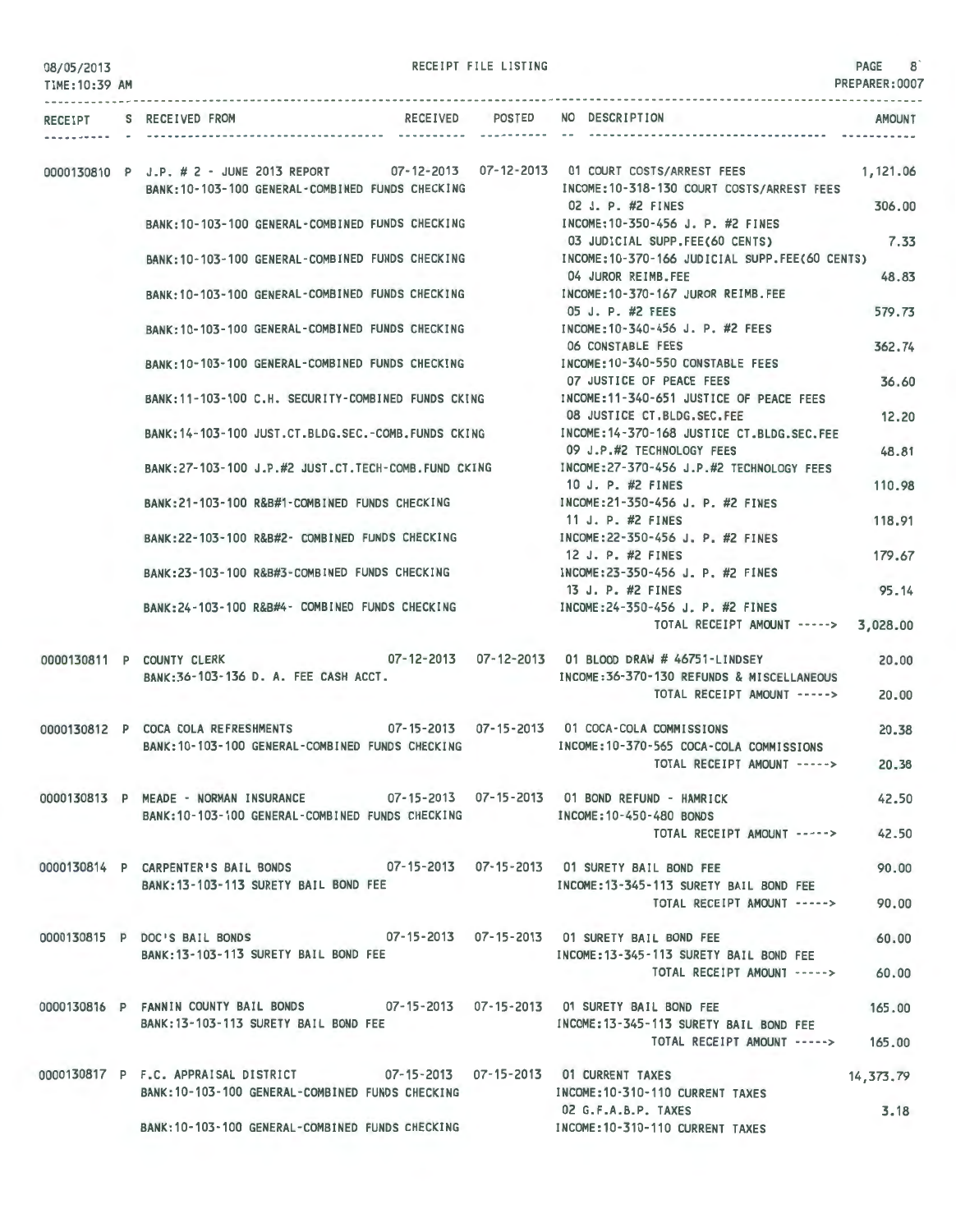| 08/05/2013     |                                                                                                                                               | RECEIPT FILE LISTING |                                                                          | PAGE 8         |
|----------------|-----------------------------------------------------------------------------------------------------------------------------------------------|----------------------|--------------------------------------------------------------------------|----------------|
| TIME: 10:39 AM |                                                                                                                                               |                      |                                                                          | PREPARER: 0007 |
|                | RECEIPT S RECEIVED FROM                                                                                                                       |                      | RECEIVED POSTED NO DESCRIPTION                                           | AMOUNT         |
|                | 0000130810 P J.P. # 2 - JUNE 2013 REPORT 07-12-2013 07-12-2013 01 COURT COSTS/ARREST FEES<br>BANK: 10-103-100 GENERAL-COMBINED FUNDS CHECKING |                      | INCOME:10-318-130 COURT COSTS/ARREST FEES                                | 1,121.06       |
|                | BANK:10-103-100 GENERAL-COMBINED FUNDS CHECKING                                                                                               |                      | 02 J. P. #2 FINES<br>INCOME: 10-350-456 J. P. #2 FINES                   | 306.00         |
|                | BANK:10-103-100 GENERAL-COMBINED FUNDS CHECKING   INCOME:10-370-166 JUDICIAL SUPP.FEE(60 CENTS)                                               |                      | 03 JUDICIAL SUPP.FEE(60 CENTS)                                           | 7.33           |
|                | BANK:10-103-100 GENERAL-COMBINED FUNDS CHECKING                                                                                               |                      | 04 JUROR REIMB.FEE<br>INCOME:10-370-167 JUROR REIMB.FEE                  | 48.83          |
|                | BANK: 10-103-100 GENERAL-COMBINED FUNDS CHECKING                                                                                              |                      | 05 J. P. #2 FEES<br>INCOME:10-340-456 J. P. #2 FEES                      | 579.73         |
|                | BANK:10-103-100 GENERAL-COMBINED FUNDS CHECKING                                                                                               |                      | <b>06 CONSTABLE FEES</b><br>INCOME:10-340-550 CONSTABLE FEES             | 362.74         |
|                | BANK: 11-103-100 C.H. SECURITY-COMBINED FUNDS CKING                                                                                           |                      | 07 JUSTICE OF PEACE FEES<br>INCOME:11-340-651 JUSTICE OF PEACE FEES      | 36.60          |
|                | BANK:14-103-100 JUST.CT.BLDG.SEC.-COMB.FUNDS CKING                                                                                            |                      | 08 JUSTICE CT.BLDG.SEC.FEE<br>INCOME: 14-370-168 JUSTICE CT.BLDG.SEC.FEE | 12,20          |
|                | BANK:27-103-100 J.P.#2 JUST.CT.TECH-COMB.FUND CKING MOOME:27-370-456 J.P.#2 TECHNOLOGY FEES                                                   |                      | 09 J.P.#2 TECHNOLOGY FEES                                                | 48.81          |
|                | BANK:21-103-100 R&B#1-COMBINED FUNDS CHECKING                                                                                                 |                      | 10 J. P. #2 FINES<br>INCOME:21-350-456 J. P. #2 FINES                    | 110.98         |
|                | BANK:22-103-100 R&B#2- COMBINED FUNDS CHECKING                                                                                                |                      | 11 J. P. #2 FINES<br>INCOME: 22-350-456 J. P. #2 FINES                   | 118.91         |
|                | BANK:23-103-100 R&B#3-COMBINED FUNDS CHECKING                                                                                                 |                      | 12 J. P. #2 FINES<br>INCOME:23-350-456 J. P. #2 FINES                    | 179.67         |
|                | BANK:24-103-100 R&B#4- COMBINED FUNDS CHECKING                                                                                                |                      | 13 J. P. #2 FINES<br>INCOME:24-350-456 J. P. #2 FINES                    | 95.14          |
|                |                                                                                                                                               |                      | TOTAL RECEIPT AMOUNT -----> 3,028.00                                     |                |
|                | 0000130811 P COUNTY CLERK<br>BANK:36-103-136 D. A. FEE CASH ACCT.                                                                             |                      | INCOME: 36-370-130 REFUNDS & MISCELLANEOUS                               | 20.00          |
|                |                                                                                                                                               |                      | TOTAL RECEIPT AMOUNT ----->                                              | 20,00          |
|                | 0000130812 P COCA COLA REFRESHMENTS 07-15-2013 07-15-2013 01 COCA-COLA COMMISSIONS<br>BANK: 10-103-100 GENERAL-COMBINED FUNDS CHECKING        |                      | INCOME:10-370-565 COCA-COLA COMMISSIONS                                  | 20.38          |
|                |                                                                                                                                               |                      | TOTAL RECEIPT AMOUNT ----->                                              | 20.38          |
|                | 0000130813 P MEADE - NORMAN INSURANCE 07-15-2013 07-15-2013 01 BOND REFUND - HAMRICK<br>BANK:10-103-100 GENERAL-COMBINED FUNDS CHECKING       |                      | INCOME:10-450-480 BONDS                                                  | 42.50          |
|                |                                                                                                                                               |                      | TOTAL RECEIPT AMOUNT ----->                                              | 42.50          |
|                | 0000130814 P CARPENTER'S BAIL BONDS 07-15-2013 07-15-2013 01 SURETY BAIL BOND FEE<br>BANK: 13-103-113 SURETY BAIL BOND FEE                    |                      | INCOME: 13-345-113 SURETY BAIL BOND FEE                                  | 90.00          |
|                |                                                                                                                                               |                      | TOTAL RECEIPT AMOUNT ----->                                              | 90,00          |
|                | 0000130815 P DOC'S BAIL BONDS 07-15-2013 07-15-2013 01 SURETY BAIL BOND FEE<br>BANK: 13-103-113 SURETY BAIL BOND FEE                          |                      | INCOME:13-345-113 SURETY BAIL BOND FEE                                   | 60.00          |
|                |                                                                                                                                               |                      | TOTAL RECEIPT AMOUNT ----->                                              | 60.00          |
|                | 0000130816 P FANNIN COUNTY BAIL BONDS 07-15-2013 07-15-2013 01 SURETY BAIL BOND FEE<br>BANK: 13-103-113 SURETY BAIL BOND FEE                  |                      | INCOME:13-345-113 SURETY BAIL BOND FEE                                   | 165.00         |
|                |                                                                                                                                               |                      | TOTAL RECEIPT AMOUNT -----> 165.00                                       |                |
|                | 0000130817 P F.C. APPRAISAL DISTRICT 07-15-2013 07-15-2013 01 CURRENT TAXES<br>BANK: 10-103-100 GENERAL-COMBINED FUNDS CHECKING               |                      | INCOME: 10-310-110 CURRENT TAXES                                         | 14,373.79      |
|                | BANK:10-103-100 GENERAL-COMBINED FUNDS CHECKING MODE:10-310-110 CURRENT TAXES                                                                 |                      | 02 G.F.A.B.P. TAXES                                                      | 3.18           |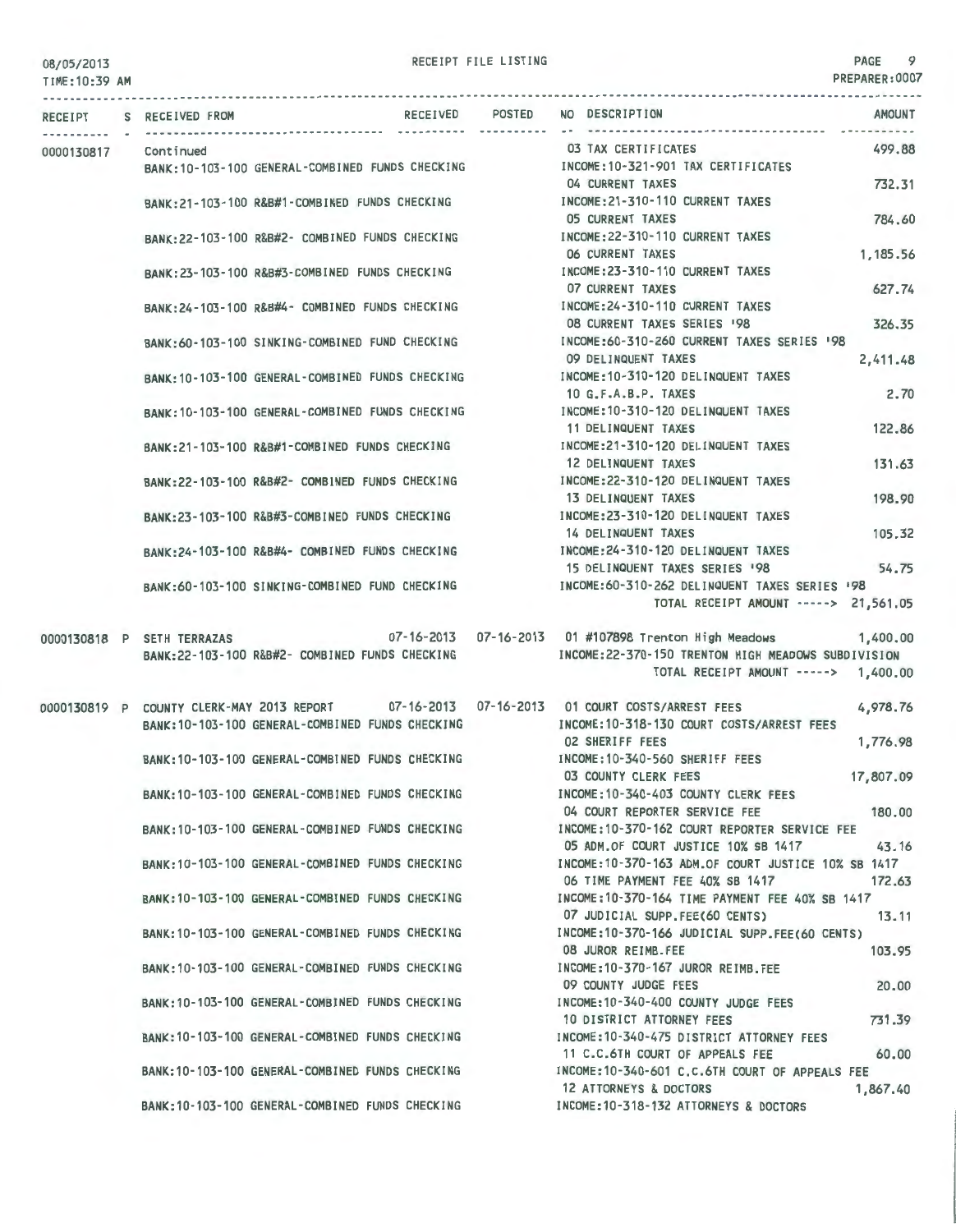## RECEIPT FILE LISTING PAGE 9

TIME:10:39 AM PREPARER:0007 --------------------------------------------------------------------------------------------------------------------------------- RECEIPT S RECEIVED FROM RECEIVED 0000130817 Continued BANK:10-103-100 GENERAL-COMBINED FUNDS CHECKING BANK:21-103-100 R&B#1-COMBINED FUNDS CHECKING BANK:22-103-100 R&B#2- COMBINED FUNDS CHECKING BANK:23-103-100 R&B#3-COMBINED FUNDS CHECKING BANK:24-103-100 R&B#4- COMBINED FUNDS CHECKING BANK:60-103-100 SINKING-COMBINED FUND CHECKING BANK:10-103-100 GENERAL-COMBINED FUNDS CHECKING BANK:10-103-100 GENERAL-COMBINED FUNDS CHECKING BANK:21-103-100 R&B#1-COMBINED FUNDS CHECKING BANK:22-103-100 R&B#2- COMBINED FUNDS CHECKING BANK:23-103-100 R&B#3-COMBINED FUNDS CHECKING BANK:24-103-100 R&B#4- COMBINED FUNDS CHECKING BANK:60-103-100 SINKING-COMBINED FUND CHECKING 0000130818 P SETH TERRAZAS BANK:22-103-100 R&B#2- COMBINED FUNDS CHECKING RECEIVED POSTED NO DESCRIPTION 03 TAX CERTIFICATES INCOME:10-321-901 TAX CERTIFICATES 04 CURRENT TAXES INCOME:21-310-110 CURRENT TAXES 05 CURRENT TAXES INCOME:22-310-110 CURRENT TAXES 06 CURRENT TAXES INCOME:23-310-110 CURRENT TAXES 07 CURRENT TAXES INCOME:24-310-110 CURRENT TAXES 08 CURRENT TAXES SERIES '98 INCOME:60 -310-260 CURRENT TAXES SERIES '98 09 DELINQUENT TAXES INCOME:10-310-120 DELINQUENT TAXES 10 G.F.A.B.P. TAXES INCOME:10-310-120 DELINQUENT TAXES 11 DELINQUENT TAXES INCOME:21-310-120 DELINQUENT TAXES 12 DELINQUENT TAXES INCOME:22-310·120 DELINQUENT TAXES 13 DELINQUENT TAXES INCOME:23-310-120 DELINQUENT TAXES 14 DELINQUENT TAXES INCOME:24-310-120 DELINQUENT TAXES AMOUNT 499.88 732.31 784.60 1,185.56 627.74 326.35 2,411.48 2.70 122.86 131.63 198.90 105.32 15 DELINQUENT TAXES SERIES 198 54.75 INCOME:60-310-262 DELINQUENT TAXES SERIES '98 TOTAL RECEIPT AMOUNT -----> 21,561.05 07-16-2013 07-16-2013 01 #107898 Trenton High Meadows 1,400.00 INCOME:22-370-150 TRENTON HIGH MEADOWS SUBDIVISION TOTAL RECEIPT AMOUNT -----> 1,400. 00 0000130819 P COUNTY CLERK-MAY 2013 REPORT 07-16-2013 07-16-2013 01 COURT COSTS/ARREST FEES INCOME:10-318-130 COURT COSTS/ARREST FEES 02 SHERIFF FEES 4,978.76 BANK:10- 103-100 GENERAL -COMBINED FUNDS CHECKING BANK:10-103-100 GENERAL-COMBINED FUNDS CHECKING BANK:10-103-100 GENERAL-COMBINED FUNDS CHECKING BANK:10-103-100 GENERAL-COMBINED FUNDS CHECKING BANK:10-103-100 GENERAL-COMBINED FUNDS CHECKING BANK:10 - 103-100 GENERAL-COMBINED FUNDS CHECKING BANK:10-103-100 GENERAL-COMBINED FUNDS CHECKING BANK:10-103-100 GENERAL-COMBINED FUNDS CHECKING BANK:10-103-100 GENERAL-COMBINED FUNDS CHECKING BANK:10-103-100 GENERAL-COMBINED FUNDS CHECKING BANK:10-103-100 GENERAL -COMBINED FUNDS CHECKING BANK:10- 103-100 GENERAL-COMBINED FUNDS CHECKING 1,776.98 INCOME:10-340-560 SHERIFF FEES 03 COUNTY CLERK FEES 17,807.09 INCOME:10-340-403 COUNTY CLERK FEES 04 COURT REPORTER SERVICE FEE 180.00 INCOME:10-370-162 COURT REPORTER SERVICE FEE 05 ADM.OF COURT JUSTICE 10% SB 1417 43.16 INCOME:10-370-163 ADM.OF COURT JUSTICE 10% SB 1417 06 TIME PAYMENT FEE 40% SB 1417 172.63 INCOME:10-370-164 TIME PAYMENT FEE 40% SB 1417 07 JUDICIAL SUPP.FEE(60 CENTS) 13.11 INCOME:10-370-166 JUDICIAL SUPP.FEE(60 CENTS) 08 JUROR REIMB.FEE 103.95 INCOME:10-370-167 JUROR REIMB.FEE 09 COUNTY JUDGE FEES INCOME:10-340-400 COUNTY JUDGE FEES 10 DISTRICT ATTORNEY FEES INCOME:10-340-475 DISTRICT ATTORNEY FEES 11 C.C.6TH COURT OF APPEALS FEE INCOME:10-340-601 C.C.6TH COURT OF APPEALS FEE 20.00 731.39 60.00 12 ATTORNEYS & DOCTORS INCOME:10-318-132 ATTORNEYS & DOCTORS 1,867.40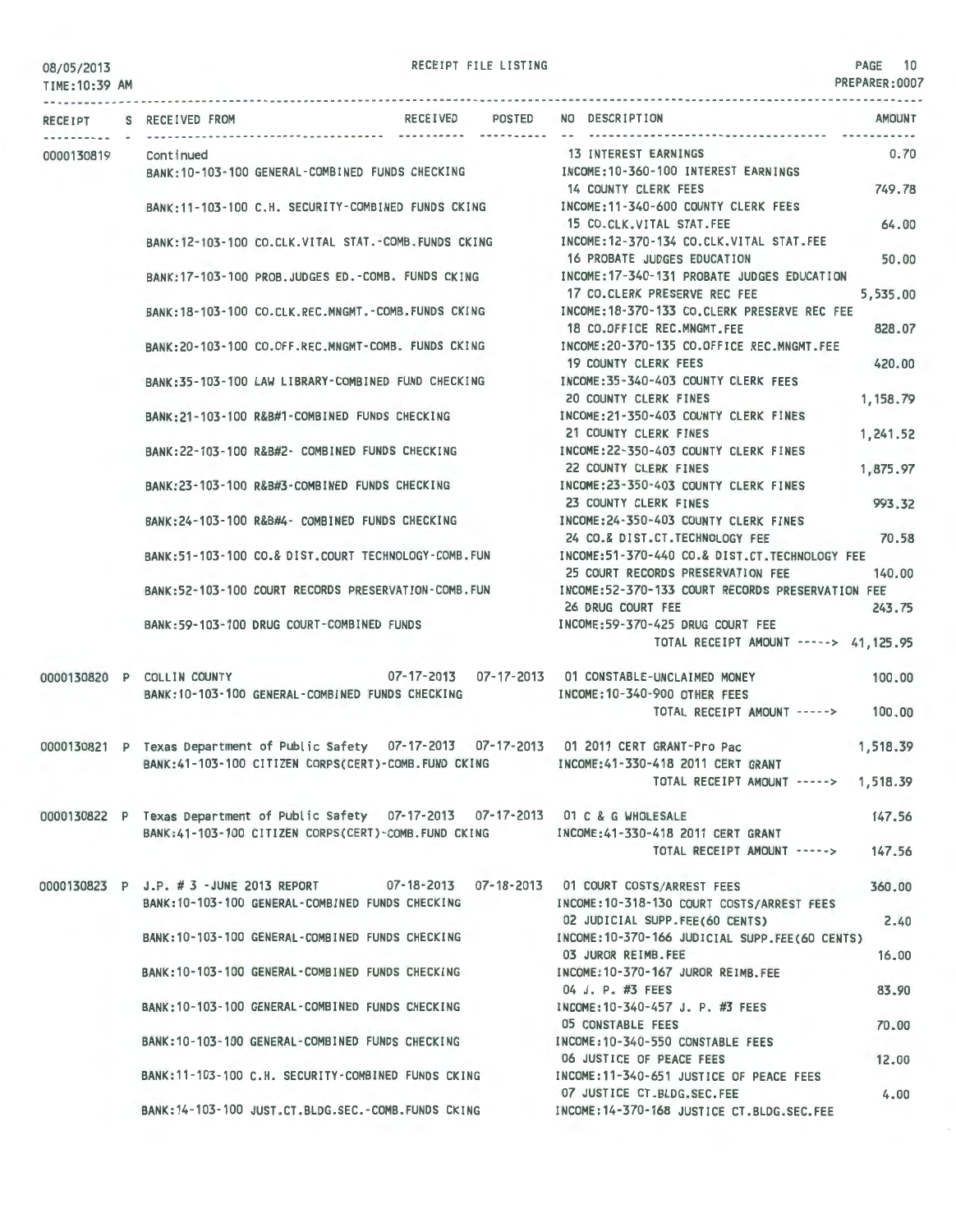RECEIPT FILE LISTING **PAGE 10** 

PREPARER:0007

| TIME: 10:39 AM<br><b>RECEIPT</b> | S RECEIVED FROM                        | RECEIVED                                                                                                                                       | POSTED | NO DESCRIPTION                                                                                                                        | <b>AMOUNT</b>     |
|----------------------------------|----------------------------------------|------------------------------------------------------------------------------------------------------------------------------------------------|--------|---------------------------------------------------------------------------------------------------------------------------------------|-------------------|
|                                  |                                        |                                                                                                                                                |        |                                                                                                                                       |                   |
| 0000130819                       | Continued                              | BANK: 10-103-100 GENERAL-COMBINED FUNDS CHECKING                                                                                               |        | 13 INTEREST EARNINGS<br>INCOME:10-360-100 INTEREST EARNINGS                                                                           | 0.70              |
|                                  |                                        | BANK:11-103-100 C.H. SECURITY-COMBINED FUNDS CKING                                                                                             |        | 14 COUNTY CLERK FEES<br>INCOME:11-340-600 COUNTY CLERK FEES                                                                           | 749.78            |
|                                  |                                        | BANK: 12-103-100 CO.CLK.VITAL STAT.-COMB.FUNDS CKING                                                                                           |        | 15 CO.CLK.VITAL STAT.FEE<br>INCOME: 12-370-134 CO.CLK.VITAL STAT.FEE                                                                  | 64.00             |
|                                  |                                        | BANK: 17-103-100 PROB.JUDGES ED. - COMB. FUNDS CKING                                                                                           |        | 16 PROBATE JUDGES EDUCATION<br>INCOME: 17-340-131 PROBATE JUDGES EDUCATION<br>17 CO.CLERK PRESERVE REC FEE                            | 50.00<br>5,535.00 |
|                                  |                                        | BANK: 18-103-100 CO.CLK.REC.MNGMT.-COMB.FUNDS CKING                                                                                            |        | INCOME:18-370-133 CO.CLERK PRESERVE REC FEE<br>18 CO.OFFICE REC.MNGMT.FEE                                                             | 828.07            |
|                                  |                                        | BANK:20-103-100 CO.OFF.REC.MNGMT-COMB. FUNDS CKING                                                                                             |        | INCOME:20-370-135 CO.OFFICE REC.MNGMT.FEE<br><b>19 COUNTY CLERK FEES</b>                                                              | 420.00            |
|                                  |                                        | BANK: 35-103-100 LAW LIBRARY-COMBINED FUND CHECKING                                                                                            |        | INCOME: 35-340-403 COUNTY CLERK FEES<br><b>20 COUNTY CLERK FINES</b>                                                                  | 1,158.79          |
|                                  |                                        | BANK:21-103-100 R&B#1-COMBINED FUNDS CHECKING                                                                                                  |        | INCOME: 21-350-403 COUNTY CLERK FINES<br>21 COUNTY CLERK FINES                                                                        | 1,241.52          |
|                                  |                                        | BANK:22-103-100 R&B#2- COMBINED FUNDS CHECKING                                                                                                 |        | INCOME:22-350-403 COUNTY CLERK FINES<br>22 COUNTY CLERK FINES                                                                         | 1,875.97          |
|                                  |                                        | BANK:23-103-100 R&B#3-COMBINED FUNDS CHECKING                                                                                                  |        | INCOME:23-350-403 COUNTY CLERK FINES<br>23 COUNTY CLERK FINES                                                                         | 993.32            |
|                                  |                                        | BANK:24-103-100 R&B#4- COMBINED FUNDS CHECKING                                                                                                 |        | INCOME: 24-350-403 COUNTY CLERK FINES<br>24 CO.& DIST.CT.TECHNOLOGY FEE                                                               | 70.58             |
|                                  |                                        | BANK:51-103-100 CO.& DIST.COURT TECHNOLOGY-COMB.FUN                                                                                            |        | INCOME:51-370-440 CO.& DIST.CT.TECHNOLOGY FEE<br>25 COURT RECORDS PRESERVATION FEE                                                    | 140,00            |
|                                  |                                        | BANK:52-103-100 COURT RECORDS PRESERVATION-COMB.FUN                                                                                            |        | INCOME:52-370-133 COURT RECORDS PRESERVATION FEE<br>26 DRUG COURT FEE                                                                 | 243.75            |
|                                  |                                        | BANK:59-103-100 DRUG COURT-COMBINED FUNDS                                                                                                      |        | INCOME:59-370-425 DRUG COURT FEE<br>TOTAL RECEIPT AMOUNT -----> 41,125.95                                                             |                   |
|                                  | 0000130820 P COLLIN COUNTY             | BANK: 10-103-100 GENERAL-COMBINED FUNDS CHECKING                                                                                               |        | 07-17-2013  07-17-2013  01 CONSTABLE-UNCLAIMED MONEY<br>INCOME: 10-340-900 OTHER FEES                                                 | 100,00            |
|                                  |                                        |                                                                                                                                                |        | TOTAL RECEIPT AMOUNT ----->                                                                                                           | 100.00            |
|                                  |                                        | BANK:41-103-100 CITIZEN CORPS(CERT)-COMB.FUND CKING                                                                                            |        | 0000130821 P Texas Department of Public Safety 07-17-2013 07-17-2013 01 2011 CERT GRANT-Pro Pac<br>INCOME: 41-330-418 2011 CERT GRANT | 1,518.39          |
|                                  |                                        |                                                                                                                                                |        | TOTAL RECEIPT AMOUNT -----> 1,518.39                                                                                                  |                   |
|                                  |                                        | 0000130822 P Texas Department of Public Safety 07-17-2013 07-17-2013 01 C & G WHOLESALE<br>BANK:41-103-100 CITIZEN CORPS(CERT)-COMB.FUND CKING |        | INCOME: 41-330-418 2011 CERT GRANT                                                                                                    | 147.56            |
|                                  |                                        |                                                                                                                                                |        | TOTAL RECEIPT AMOUNT ----->                                                                                                           | 147.56            |
|                                  | 0000130823 P J.P. #3 -JUNE 2013 REPORT | BANK: 10-103-100 GENERAL-COMBINED FUNDS CHECKING                                                                                               |        | 07-18-2013  07-18-2013  01  COURT COSTS/ARREST FEES<br>INCOME:10-318-130 COURT COSTS/ARREST FEES                                      | 360,00            |
|                                  |                                        | BANK: 10-103-100 GENERAL-COMBINED FUNDS CHECKING                                                                                               |        | 02 JUDICIAL SUPP.FEE(60 CENTS)<br>INCOME: 10-370-166 JUDICIAL SUPP.FEE(60 CENTS)                                                      | 2.40              |
|                                  |                                        | BANK: 10-103-100 GENERAL-COMBINED FUNDS CHECKING                                                                                               |        | 03 JUROR REIMB.FEE<br>INCOME: 10-370-167 JUROR REIMB.FEE                                                                              | 16.00             |
|                                  |                                        | BANK: 10-103-100 GENERAL-COMBINED FUNDS CHECKING                                                                                               |        | 04 J. P. #3 FEES<br>INCOME: 10-340-457 J. P. #3 FEES                                                                                  | 83.90             |
|                                  |                                        | BANK: 10-103-100 GENERAL-COMBINED FUNDS CHECKING                                                                                               |        | 05 CONSTABLE FEES<br>INCOME: 10-340-550 CONSTABLE FEES                                                                                | 70.00             |
|                                  |                                        | BANK: 11-103-100 C.H. SECURITY-COMBINED FUNDS CKING                                                                                            |        | 06 JUSTICE OF PEACE FEES<br>INCOME:11-340-651 JUSTICE OF PEACE FEES                                                                   | 12.00             |
|                                  |                                        | BANK: 14-103-100 JUST.CT.BLDG.SEC.-COMB.FUNDS CKING                                                                                            |        | 07 JUSTICE CT.BLDG.SEC.FEE<br>INCOME: 14-370-168 JUSTICE CT.BLDG.SEC.FEE                                                              | 4.00              |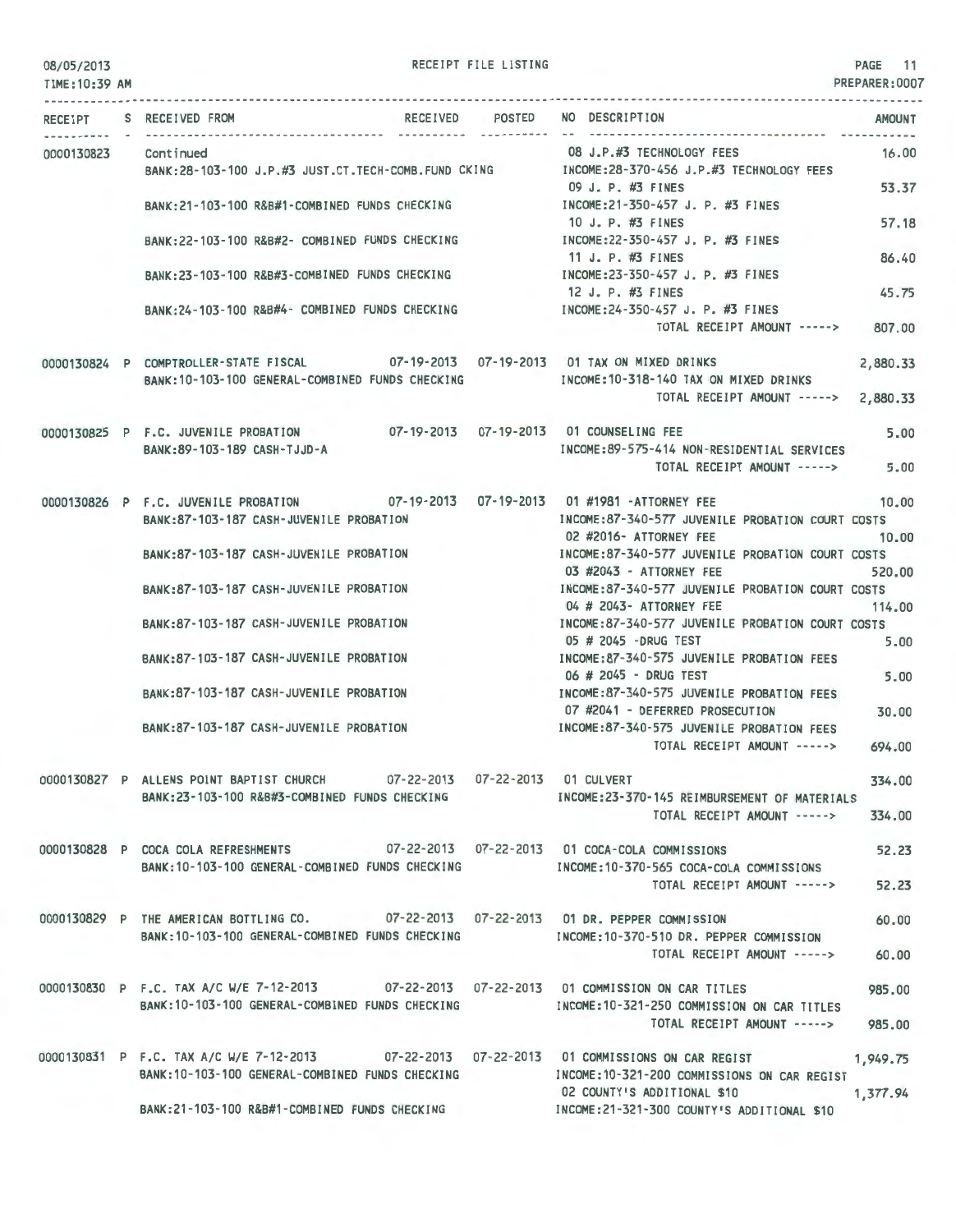| 08/05/2013 |  |  |  |
|------------|--|--|--|
|------------|--|--|--|

RECEIPT FILE LISTING

PAGE 11 PREPARER:0007

| TIME: 10:39 AM |                                                                                                                                                                                    |                 |                                                                               | PREPARER: UUU        |
|----------------|------------------------------------------------------------------------------------------------------------------------------------------------------------------------------------|-----------------|-------------------------------------------------------------------------------|----------------------|
|                | RECEIPT S RECEIVED FROM                                                                                                                                                            | RECEIVED POSTED | NO DESCRIPTION                                                                | <b>AMOUNT</b>        |
| 0000130823     | Continued<br>BANK:28-103-100 J.P.#3 JUST.CT.TECH-COMB.FUND CKING MODE:28-370-456 J.P.#3 TECHNOLOGY FEES                                                                            |                 | 08 J.P.#3 TECHNOLOGY FEES                                                     | 16.00                |
|                | BANK:21-103-100 R&B#1-COMBINED FUNDS CHECKING [INCOME:21-350-457 J. P. #3 FINES                                                                                                    |                 | 09 J. P. #3 FINES                                                             | 53.37                |
|                | BANK:22-103-100 R&B#2- COMBINED FUNDS CHECKING                                                                                                                                     |                 | 10 J. P. #3 FINES<br>INCOME:22-350-457 J. P. #3 FINES<br>11 J. P. $\#3$ FINES | 57.18                |
|                | BANK:23-103-100 R&B#3-COMBINED FUNDS CHECKING                                                                                                                                      |                 | INCOME:23-350-457 J. P. #3 FINES<br>12 J. P. #3 FINES                         | 86.40<br>45.75       |
|                | BANK:24-103-100 R&B#4- COMBINED FUNDS CHECKING MODEL:24-350-457 J.P. #3 FINES                                                                                                      |                 | TOTAL RECEIPT AMOUNT ----->                                                   | 807.00               |
|                | 0000130824 P COMPTROLLER-STATE FISCAL 07-19-2013 07-19-2013 01 TAX ON MIXED DRINKS<br>BANK: 10-103-100 GENERAL-COMBINED FUNDS CHECKING                                             |                 | INCOME:10-318-140 TAX ON MIXED DRINKS<br>TOTAL RECEIPT AMOUNT ----->          | 2,880.33<br>2,880.33 |
|                | 0000130825 P F.C. JUVENILE PROBATION 07-19-2013 07-19-2013 01 COUNSELING FEE<br>BANK: 89-103-189 CASH-TJJD-A                                                                       |                 | INCOME:89-575-414 NON-RESIDENTIAL SERVICES<br>TOTAL RECEIPT AMOUNT ----->     | 5.00<br>5.00         |
|                | 0000130826 P F.C. JUVENILE PROBATION 07-19-2013 07-19-2013 01 #1981 -ATTORNEY FEE<br>BANK:87-103-187 CASH-JUVENILE PROBATION                                                       |                 | INCOME:87-340-577 JUVENILE PROBATION COURT COSTS<br>02 #2016- ATTORNEY FEE    | 10.00<br>10.00       |
|                | BANK:87-103-187 CASH-JUVENILE PROBATION                                                                                                                                            |                 | INCOME:87-340-577 JUVENILE PROBATION COURT COSTS<br>03 #2043 - ATTORNEY FEE   | 520.00               |
|                | BANK:87-103-187 CASH-JUVENILE PROBATION                                                                                                                                            |                 | INCOME:87-340-577 JUVENILE PROBATION COURT COSTS<br>04 # 2043- ATTORNEY FEE   | 114.00               |
|                | BANK:87-103-187 CASH-JUVENILE PROBATION                                                                                                                                            |                 | INCOME:87-340-577 JUVENILE PROBATION COURT COSTS<br>05 # 2045 -DRUG TEST      | 5.00                 |
|                | BANK:87-103-187 CASH-JUVENILE PROBATION                                                                                                                                            |                 | INCOME:87-340-575 JUVENILE PROBATION FEES<br>06 # 2045 - DRUG TEST            | 5.00                 |
|                | BANK:87-103-187 CASH-JUVENILE PROBATION                                                                                                                                            |                 | INCOME:87-340-575 JUVENILE PROBATION FEES<br>07 #2041 - DEFERRED PROSECUTION  | 30.00                |
|                | BANK:87-103-187 CASH-JUVENILE PROBATION                                                                                                                                            |                 | INCOME:87-340-575 JUVENILE PROBATION FEES<br>TOTAL RECEIPT AMOUNT ----->      | 694.00               |
|                | 0000130827 P ALLENS POINT BAPTIST CHURCH 07-22-2013 07-22-2013 01 CULVERT<br>BANK:23-103-100 R&B#3-COMBINED FUNDS CHECKING                                                         |                 | INCOME:23-370-145 REIMBURSEMENT OF MATERIALS                                  | 334.00               |
|                |                                                                                                                                                                                    |                 | TOTAL RECEIPT AMOUNT -----> 334.00                                            |                      |
|                | 0000130828 P COCA COLA REFRESHMENTS 07-22-2013 07-22-2013 01 COCA-COLA COMMISSIONS<br>BANK: 10-103-100 GENERAL-COMBINED FUNDS CHECKING                                             |                 | INCOME:10-370-565 COCA-COLA COMMISSIONS                                       | 52.23                |
|                |                                                                                                                                                                                    |                 | TOTAL RECEIPT AMOUNT ----->                                                   | 52.23                |
|                | 0000130829 P THE AMERICAN BOTTLING CO. 07-22-2013 07-22-2013 01 DR. PEPPER COMMISSION<br>BANK:10-103-100 GENERAL-COMBINED FUNDS CHECKING THE MOME:10-370-510 DR. PEPPER COMMISSION |                 | TOTAL RECEIPT AMOUNT ----->                                                   | 60.00<br>60.00       |
|                | 0000130830 P F.C. TAX A/C W/E 7-12-2013 07-22-2013 07-22-2013 01 COMMISSION ON CAR TITLES                                                                                          |                 |                                                                               | 985.00               |
|                | BANK:10-103-100 GENERAL-COMBINED FUNDS CHECKING MANUSIC RESIDENCE:10-321-250 COMMISSION ON CAR TITLES                                                                              |                 | TOTAL RECEIPT AMOUNT ----->                                                   | 985,00               |
|                | 0000130831 P F.C. TAX A/C W/E 7-12-2013 07-22-2013 07-22-2013 01 COMMISSIONS ON CAR REGIST<br>BANK:10-103-100 GENERAL-COMBINED FUNDS CHECKING                                      |                 | INCOME:10-321-200 COMMISSIONS ON CAR REGIST<br>02 COUNTY'S ADDITIONAL \$10    | 1,949.75<br>1,377.94 |
|                | BANK:21-103-100 R&B#1-COMBINED FUNDS CHECKING MANUSIC RESOLUTION INCOME:21-321-300 COUNTY'S ADDITIONAL \$10                                                                        |                 |                                                                               |                      |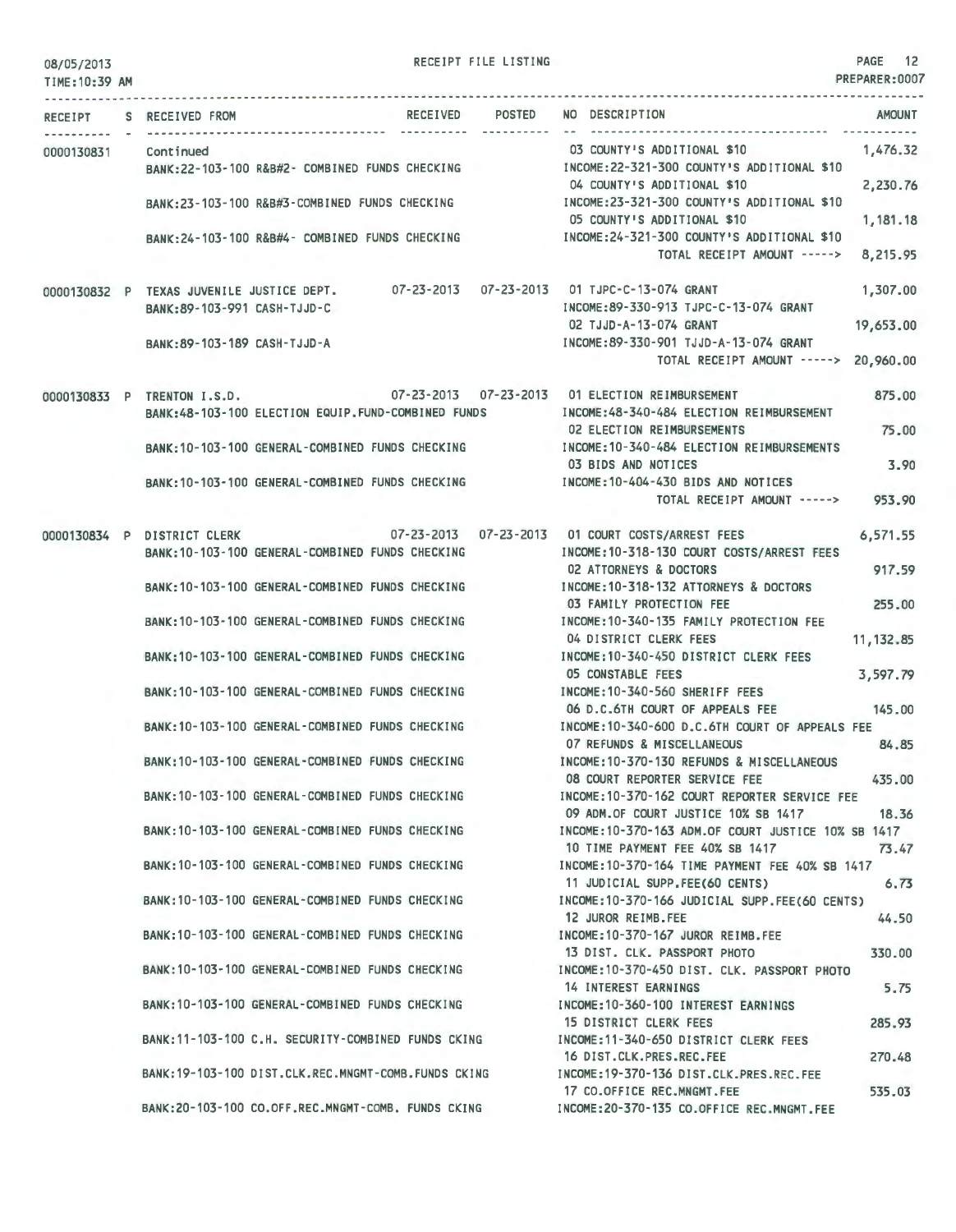RECEIPT FILE LISTING **PAGE 12** 

| 0010215013<br>TIME: 10:39 AM |                                                                          |                                                                                                      |  |                                                                                                                              | PREPARER:0007   |
|------------------------------|--------------------------------------------------------------------------|------------------------------------------------------------------------------------------------------|--|------------------------------------------------------------------------------------------------------------------------------|-----------------|
|                              | RECEIPT S RECEIVED FROM                                                  |                                                                                                      |  | RECEIVED POSTED NO DESCRIPTION                                                                                               | <b>AMOUNT</b>   |
| 0000130831                   | Continued                                                                | BANK:22-103-100 R&B#2- COMBINED FUNDS CHECKING                                                       |  | 03 COUNTY'S ADDITIONAL \$10<br>INCOME: 22-321-300 COUNTY'S ADDITIONAL \$10                                                   | 1,476.32        |
|                              |                                                                          | BANK:23-103-100 R&B#3-COMBINED FUNDS CHECKING                                                        |  | 04 COUNTY'S ADDITIONAL \$10<br>INCOME:23-321-300 COUNTY'S ADDITIONAL \$10                                                    | 2,230.76        |
|                              |                                                                          | BANK:24-103-100 R&B#4- COMBINED FUNDS CHECKING                                                       |  | 05 COUNTY'S ADDITIONAL \$10<br>INCOME: 24-321-300 COUNTY'S ADDITIONAL \$10                                                   | 1,181.18        |
|                              |                                                                          |                                                                                                      |  | TOTAL RECEIPT AMOUNT ----->                                                                                                  | 8,215.95        |
|                              | 0000130832 P TEXAS JUVENILE JUSTICE DEPT.<br>BANK:89-103-991 CASH-TJJD-C |                                                                                                      |  | 07-23-2013  07-23-2013  01 TJPC-C-13-074 GRANT<br>INCOME:89-330-913 TJPC-C-13-074 GRANT                                      | 1,307.00        |
|                              | BANK: 89-103-189 CASH-TJJD-A                                             |                                                                                                      |  | 02 TJJD-A-13-074 GRANT<br>INCOME: 89-330-901 TJJD-A-13-074 GRANT<br>TOTAL RECEIPT AMOUNT -----> 20,960.00                    | 19,653.00       |
|                              |                                                                          |                                                                                                      |  |                                                                                                                              |                 |
|                              | 0000130833 P TRENTON I.S.D.                                              | BANK:48-103-100 ELECTION EQUIP.FUND-COMBINED FUNDS                                                   |  | 07-23-2013  07-23-2013  01 ELECTION REIMBURSEMENT<br>INCOME: 48-340-484 ELECTION REIMBURSEMENT<br>02 ELECTION REIMBURSEMENTS | 875,00<br>75.00 |
|                              |                                                                          | BANK: 10-103-100 GENERAL-COMBINED FUNDS CHECKING                                                     |  | INCOME: 10-340-484 ELECTION REIMBURSEMENTS<br>03 BIDS AND NOTICES                                                            | 3.90            |
|                              |                                                                          | BANK: 10-103-100 GENERAL-COMBINED FUNDS CHECKING                                                     |  | INCOME: 10-404-430 BIDS AND NOTICES<br>TOTAL RECEIPT AMOUNT ----->                                                           | 953.90          |
| 0000130834 P                 | DISTRICT CLERK                                                           |                                                                                                      |  | 07-23-2013  07-23-2013  01 COURT COSTS/ARREST FEES                                                                           | 6,571.55        |
|                              |                                                                          | BANK: 10-103-100 GENERAL-COMBINED FUNDS CHECKING<br>BANK: 10-103-100 GENERAL-COMBINED FUNDS CHECKING |  | INCOME: 10-318-130 COURT COSTS/ARREST FEES<br>02 ATTORNEYS & DOCTORS<br>INCOME: 10-318-132 ATTORNEYS & DOCTORS               | 917.59          |
|                              |                                                                          | BANK: 10-103-100 GENERAL-COMBINED FUNDS CHECKING                                                     |  | 03 FAMILY PROTECTION FEE<br>INCOME: 10-340-135 FAMILY PROTECTION FEE                                                         | 255.00          |
|                              |                                                                          | BANK: 10-103-100 GENERAL-COMBINED FUNDS CHECKING                                                     |  | 04 DISTRICT CLERK FEES<br>INCOME: 10-340-450 DISTRICT CLERK FEES                                                             | 11, 132.85      |
|                              |                                                                          |                                                                                                      |  | 05 CONSTABLE FEES                                                                                                            | 3,597.79        |
|                              |                                                                          | BANK: 10-103-100 GENERAL-COMBINED FUNDS CHECKING                                                     |  | INCOME: 10-340-560 SHERIFF FEES<br>06 D.C.6TH COURT OF APPEALS FEE                                                           | 145.00          |
|                              |                                                                          | BANK: 10-103-100 GENERAL-COMBINED FUNDS CHECKING                                                     |  | INCOME: 10-340-600 D.C.6TH COURT OF APPEALS FEE<br>07 REFUNDS & MISCELLANEOUS                                                | 84.85           |
|                              |                                                                          | BANK: 10-103-100 GENERAL-COMBINED FUNDS CHECKING                                                     |  | INCOME: 10-370-130 REFUNDS & MISCELLANEOUS<br>08 COURT REPORTER SERVICE FEE                                                  | 435.00          |
|                              |                                                                          | BANK: 10-103-100 GENERAL-COMBINED FUNDS CHECKING                                                     |  | INCOME:10-370-162 COURT REPORTER SERVICE FEE<br>09 ADM.OF COURT JUSTICE 10% SB 1417                                          | 18.36           |
|                              |                                                                          | BANK: 10-103-100 GENERAL-COMBINED FUNDS CHECKING                                                     |  | INCOME: 10-370-163 ADM.OF COURT JUSTICE 10% SB 1417<br>10 TIME PAYMENT FEE 40% SB 1417                                       | 73.47           |
|                              |                                                                          | BANK: 10-103-100 GENERAL-COMBINED FUNDS CHECKING                                                     |  | INCOME: 10-370-164 TIME PAYMENT FEE 40% SB 1417<br>11 JUDICIAL SUPP.FEE(60 CENTS)                                            | 6, 73           |
|                              |                                                                          | BANK: 10-103-100 GENERAL-COMBINED FUNDS CHECKING                                                     |  | INCOME:10-370-166 JUDICIAL SUPP.FEE(60 CENTS)<br>12 JUROR REIMB.FEE                                                          | 44.50           |
|                              |                                                                          | BANK:10-103-100 GENERAL-COMBINED FUNDS CHECKING                                                      |  | INCOME:10-370-167 JUROR REIMB.FEE<br>13 DIST. CLK. PASSPORT PHOTO                                                            | 330.00          |
|                              |                                                                          | BANK: 10-103-100 GENERAL-COMBINED FUNDS CHECKING                                                     |  | INCOME: 10-370-450 DIST. CLK. PASSPORT PHOTO<br>14 INTEREST EARNINGS                                                         | 5.75            |
|                              |                                                                          | BANK: 10-103-100 GENERAL-COMBINED FUNDS CHECKING                                                     |  | INCOME: 10-360-100 INTEREST EARNINGS<br>15 DISTRICT CLERK FEES                                                               | 285.93          |
|                              |                                                                          | BANK:11-103-100 C.H. SECURITY-COMBINED FUNDS CKING                                                   |  | INCOME:11-340-650 DISTRICT CLERK FEES<br>16 DIST.CLK.PRES.REC.FEE                                                            | 270.48          |
|                              |                                                                          | BANK: 19-103-100 DIST.CLK.REC.MNGMT-COMB.FUNDS CKING                                                 |  | INCOME: 19-370-136 DIST.CLK.PRES.REC.FEE<br>17 CO.OFFICE REC.MNGMT.FEE                                                       | 535.03          |
|                              |                                                                          | BANK:20-103-100 CO.OFF.REC.MNGMT-COMB. FUNDS CKING                                                   |  | INCOME:20-370-135 CO.OFFICE REC.MNGMT.FEE                                                                                    |                 |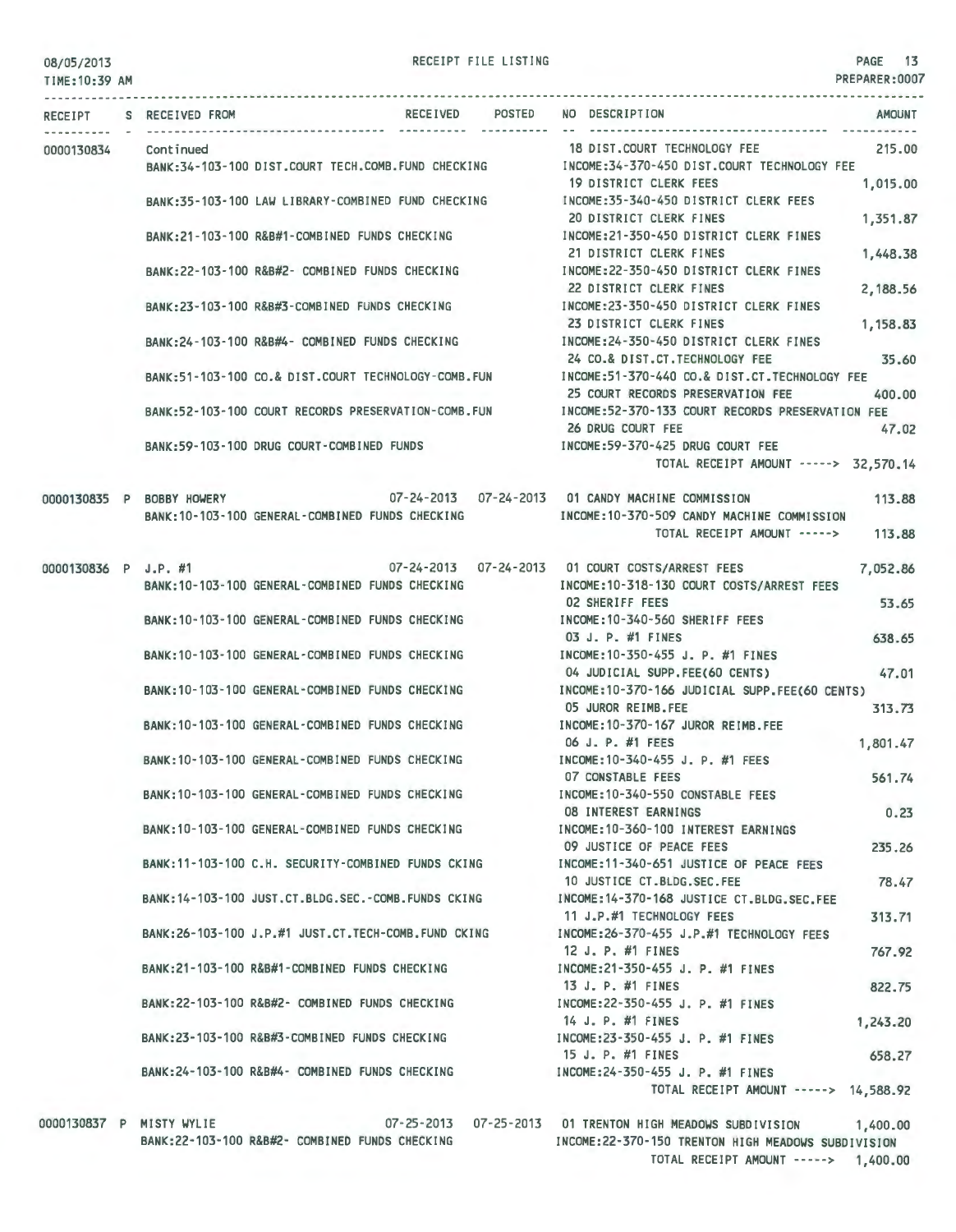## RECEIPT FILE LISTING

PREPARER:0007

| TIME: 10:39 AM |                         |                                                                                                      |                 |  |                                                                                                                                                                 | PREPARER:0007        |
|----------------|-------------------------|------------------------------------------------------------------------------------------------------|-----------------|--|-----------------------------------------------------------------------------------------------------------------------------------------------------------------|----------------------|
|                | RECEIPT S RECEIVED FROM |                                                                                                      | RECEIVED POSTED |  | NO DESCRIPTION                                                                                                                                                  | <b>AMOUNT</b>        |
| 0000130834     | Continued               | BANK:34-103-100 DIST.COURT TECH.COMB.FUND CHECKING                                                   |                 |  | 18 DIST.COURT TECHNOLOGY FEE<br>INCOME:34-370-450 DIST.COURT TECHNOLOGY FEE                                                                                     | 215.00               |
|                |                         | BANK:35-103-100 LAW LIBRARY-COMBINED FUND CHECKING                                                   |                 |  | 19 DISTRICT CLERK FEES<br>INCOME:35-340-450 DISTRICT CLERK FEES                                                                                                 | 1,015.00             |
|                |                         | BANK:21-103-100 R&B#1-COMBINED FUNDS CHECKING                                                        |                 |  | 20 DISTRICT CLERK FINES<br>INCOME:21-350-450 DISTRICT CLERK FINES                                                                                               | 1,351.87             |
|                |                         | BANK:22-103-100 R&B#2- COMBINED FUNDS CHECKING                                                       |                 |  | 21 DISTRICT CLERK FINES<br>INCOME:22-350-450 DISTRICT CLERK FINES<br>22 DISTRICT CLERK FINES                                                                    | 1,448.38<br>2,188.56 |
|                |                         | BANK:23-103-100 R&B#3-COMBINED FUNDS CHECKING                                                        |                 |  | INCOME:23-350-450 DISTRICT CLERK FINES<br>23 DISTRICT CLERK FINES                                                                                               | 1,158.83             |
|                |                         | BANK:24-103-100 R&B#4- COMBINED FUNDS CHECKING                                                       |                 |  | INCOME:24-350-450 DISTRICT CLERK FINES<br>24 CO.& DIST.CT.TECHNOLOGY FEE                                                                                        | 35.60                |
|                |                         | BANK:51-103-100 CO.& DIST.COURT TECHNOLOGY-COMB.FUN                                                  |                 |  | INCOME:51-370-440 CO.& DIST.CT.TECHNOLOGY FEE<br>25 COURT RECORDS PRESERVATION FEE                                                                              | 400.00               |
|                |                         | BANK:52-103-100 COURT RECORDS PRESERVATION-COMB.FUN                                                  |                 |  | INCOME:52-370-133 COURT RECORDS PRESERVATION FEE<br>26 DRUG COURT FEE                                                                                           | 47.02                |
|                |                         | BANK:59-103-100 DRUG COURT-COMBINED FUNDS                                                            |                 |  | INCOME:59-370-425 DRUG COURT FEE<br>TOTAL RECEIPT AMOUNT -----> 32,570,14                                                                                       |                      |
|                |                         | BANK: 10-103-100 GENERAL-COMBINED FUNDS CHECKING                                                     |                 |  | 0000130835 P BOBBY HOWERY 07-24-2013 07-24-2013 01 CANDY MACHINE COMMISSION<br>INCOME:10-370-509 CANDY MACHINE COMMISSION<br>TOTAL RECEIPT AMOUNT -----> 113.88 | 113.88               |
|                |                         |                                                                                                      |                 |  | 0000130836 P J.P. #1 07-24-2013 07-24-2013 01 COURT COSTS/ARREST FEES                                                                                           | 7,052.86             |
|                |                         | BANK:10-103-100 GENERAL-COMBINED FUNDS CHECKING                                                      |                 |  | INCOME:10-318-130 COURT COSTS/ARREST FEES<br>02 SHERIFF FEES                                                                                                    | 53.65                |
|                |                         | BANK:10-103-100 GENERAL-COMBINED FUNDS CHECKING                                                      |                 |  | INCOME:10-340-560 SHERIFF FEES<br>03 J. P. #1 FINES                                                                                                             | 638.65               |
|                |                         | BANK:10-103-100 GENERAL-COMBINED FUNDS CHECKING                                                      |                 |  | INCOME: 10-350-455 J. P. #1 FINES<br>04 JUDICIAL SUPP.FEE(60 CENTS)                                                                                             | 47.01                |
|                |                         | BANK:10-103-100 GENERAL-COMBINED FUNDS CHECKING                                                      |                 |  | INCOME:10-370-166 JUDICIAL SUPP.FEE(60 CENTS)<br>05 JUROR REIMB.FEE                                                                                             | 313.73               |
|                |                         | BANK:10-103-100 GENERAL-COMBINED FUNDS CHECKING                                                      |                 |  | INCOME: 10-370-167 JUROR REIMB.FEE<br>06 J. P. #1 FEES                                                                                                          | 1,801.47             |
|                |                         | BANK: 10-103-100 GENERAL-COMBINED FUNDS CHECKING<br>BANK: 10-103-100 GENERAL-COMBINED FUNDS CHECKING |                 |  | INCOME:10-340-455 J. P. #1 FEES<br>07 CONSTABLE FEES<br>INCOME: 10-340-550 CONSTABLE FEES                                                                       | 561.74               |
|                |                         | BANK: 10-103-100 GENERAL-COMBINED FUNDS CHECKING                                                     |                 |  | <b>08 INTEREST EARNINGS</b><br>INCOME: 10-360-100 INTEREST EARNINGS                                                                                             | 0.23                 |
|                |                         | BANK:11-103-100 C.H. SECURITY-COMBINED FUNDS CKING                                                   |                 |  | 09 JUSTICE OF PEACE FEES<br>INCOME:11-340-651 JUSTICE OF PEACE FEES                                                                                             | 235.26               |
|                |                         | BANK: 14-103-100 JUST.CT.BLDG.SEC.-COMB.FUNDS CKING                                                  |                 |  | 10 JUSTICE CT.BLDG.SEC.FEE<br>INCOME: 14-370-168 JUSTICE CT.BLDG.SEC.FEE                                                                                        | 78.47                |
|                |                         | BANK: 26-103-100 J.P.#1 JUST.CT. TECH-COMB. FUND CKING                                               |                 |  | 11 J.P.#1 TECHNOLOGY FEES<br>INCOME: 26-370-455 J.P.#1 TECHNOLOGY FEES                                                                                          | 313.71               |
|                |                         | BANK:21-103-100 R&B#1-COMBINED FUNDS CHECKING                                                        |                 |  | 12 J. P. #1 FINES<br>INCOME:21-350-455 J. P. #1 FINES                                                                                                           | 767.92               |
|                |                         | BANK:22-103-100 R&B#2- COMBINED FUNDS CHECKING                                                       |                 |  | 13 J. P. #1 FINES<br>INCOME:22-350-455 J. P. #1 FINES                                                                                                           | 822.75               |
|                |                         | BANK:23-103-100 R&B#3-COMBINED FUNDS CHECKING                                                        |                 |  | 14 J. P. #1 FINES<br>INCOME: 23-350-455 J. P. #1 FINES<br>15 J. P. #1 FINES                                                                                     | 1,243.20             |
|                |                         | BANK:24-103-100 R&B#4- COMBINED FUNDS CHECKING                                                       |                 |  | INCOME: 24-350-455 J. P. #1 FINES<br>TOTAL RECEIPT AMOUNT -----> 14,588.92                                                                                      | 658.27               |
| 0000170077     |                         |                                                                                                      |                 |  | 07.05.0017 07.05.0017 01.705UTON UTOH MEADOUG GUBB 100                                                                                                          |                      |

0000130837 P MISTY ~YLIE 07-25-2013 07-25-2013 01 TRENTON HIGH MEADO~S SUBDIVISION 1,400.00 BANK:22-103-100 R&B#2- COMBINED FUNDS CHECKING INCOME:22-370-150 TRENTON HIGH MEADOWS SUBDIVISION TOTAL RECEIPT AMOUNT -----> 1,400.00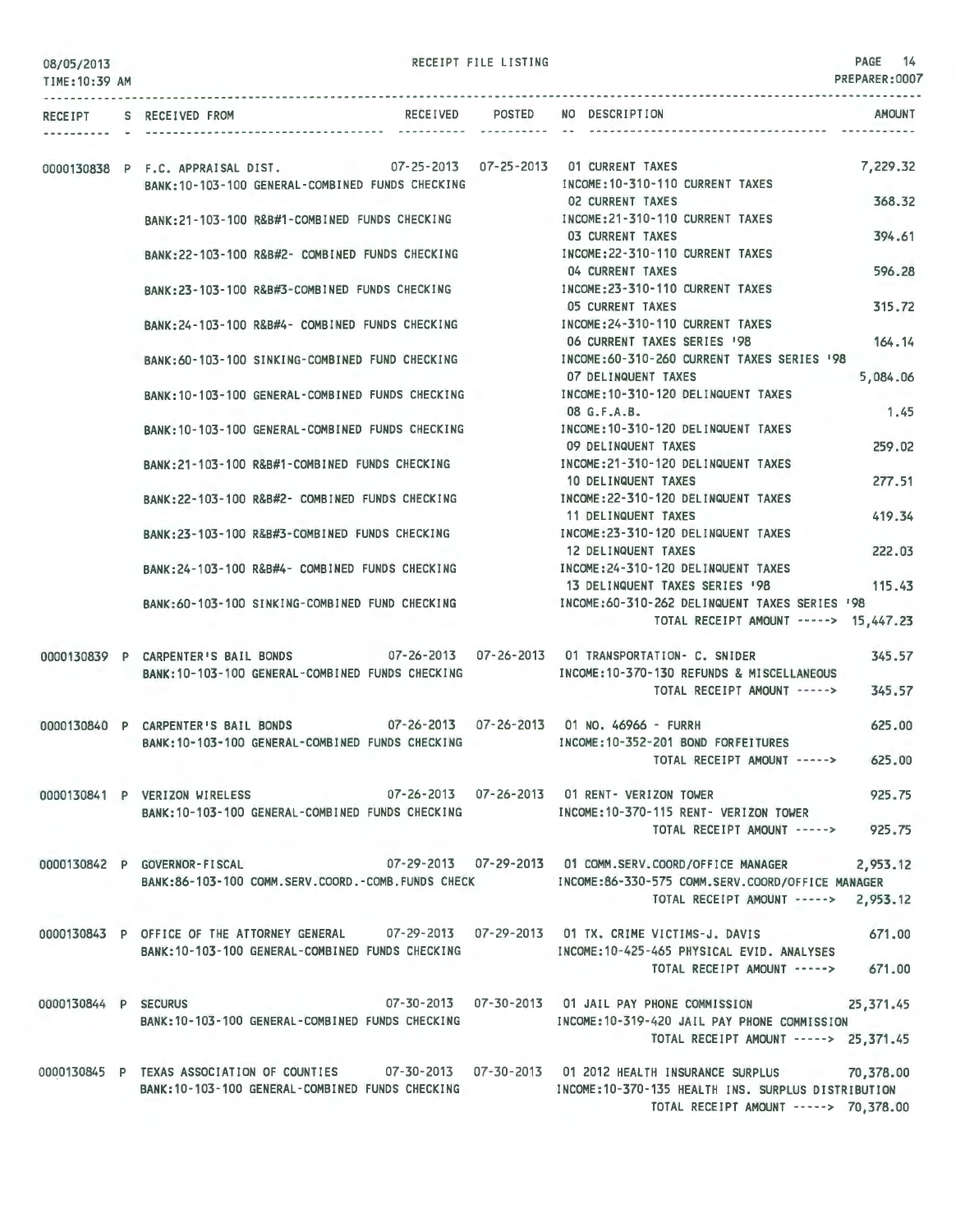| 08/05/2013<br>TIME: 10:39 AM |  | RECEIPT FILE LISTING                                                                                                              |                 |  |                                                                                                                                                                                                                                          |           |  |
|------------------------------|--|-----------------------------------------------------------------------------------------------------------------------------------|-----------------|--|------------------------------------------------------------------------------------------------------------------------------------------------------------------------------------------------------------------------------------------|-----------|--|
|                              |  | RECEIPT S RECEIVED FROM                                                                                                           | RECEIVED POSTED |  | NO DESCRIPTION                                                                                                                                                                                                                           | AMOUNT    |  |
|                              |  |                                                                                                                                   |                 |  |                                                                                                                                                                                                                                          |           |  |
|                              |  | 0000130838 P F.C. APPRAISAL DIST. 07-25-2013 07-25-2013 01 CURRENT TAXES<br>BANK: 10-103-100 GENERAL-COMBINED FUNDS CHECKING      |                 |  | INCOME: 10-310-110 CURRENT TAXES                                                                                                                                                                                                         | 7,229.32  |  |
|                              |  | BANK:21-103-100 R&B#1-COMBINED FUNDS CHECKING                                                                                     |                 |  | <b>02 CURRENT TAXES</b><br>INCOME:21-310-110 CURRENT TAXES                                                                                                                                                                               | 368,32    |  |
|                              |  | BANK:22-103-100 R&B#2- COMBINED FUNDS CHECKING                                                                                    |                 |  | <b>03 CURRENT TAXES</b><br>INCOME: 22-310-110 CURRENT TAXES                                                                                                                                                                              | 394.61    |  |
|                              |  | BANK:23-103-100 R&B#3-COMBINED FUNDS CHECKING                                                                                     |                 |  | 04 CURRENT TAXES<br>INCOME: 23-310-110 CURRENT TAXES                                                                                                                                                                                     | 596.28    |  |
|                              |  | BANK: 24-103-100 R&B#4- COMBINED FUNDS CHECKING                                                                                   |                 |  | <b>05 CURRENT TAXES</b><br>INCOME: 24-310-110 CURRENT TAXES                                                                                                                                                                              | 315,72    |  |
|                              |  | BANK:60-103-100 SINKING-COMBINED FUND CHECKING                                                                                    |                 |  | 06 CURRENT TAXES SERIES '98<br>INCOME:60-310-260 CURRENT TAXES SERIES '98                                                                                                                                                                | 164.14    |  |
|                              |  | BANK:10-103-100 GENERAL-COMBINED FUNDS CHECKING                                                                                   |                 |  | 07 DELINQUENT TAXES<br>INCOME: 10-310-120 DELINQUENT TAXES                                                                                                                                                                               | 5,084.06  |  |
|                              |  | BANK: 10-103-100 GENERAL-COMBINED FUNDS CHECKING                                                                                  |                 |  | 08 G.F.A.B.<br>INCOME: 10-310-120 DELINQUENT TAXES                                                                                                                                                                                       | 1.45      |  |
|                              |  | BANK:21-103-100 R&B#1-COMBINED FUNDS CHECKING                                                                                     |                 |  | 09 DELINQUENT TAXES<br>INCOME: 21-310-120 DELINQUENT TAXES                                                                                                                                                                               | 259.02    |  |
|                              |  | BANK:22-103-100 R&B#2- COMBINED FUNDS CHECKING                                                                                    |                 |  | 10 DELINQUENT TAXES<br>INCOME: 22-310-120 DELINQUENT TAXES                                                                                                                                                                               | 277.51    |  |
|                              |  | BANK:23-103-100 R&B#3-COMBINED FUNDS CHECKING                                                                                     |                 |  | 11 DELINQUENT TAXES<br>INCOME:23-310-120 DELINQUENT TAXES                                                                                                                                                                                | 419.34    |  |
|                              |  |                                                                                                                                   |                 |  | 12 DELINQUENT TAXES<br>BANK:24-103-100 R&B#4- COMBINED FUNDS CHECKING NORTH INCOME:24-310-120 DELINQUENT TAXES                                                                                                                           | 222.03    |  |
|                              |  | BANK:60-103-100 SINKING-COMBINED FUND CHECKING                                                                                    |                 |  | 13 DELINQUENT TAXES SERIES '98<br>INCOME:60-310-262 DELINQUENT TAXES SERIES '98                                                                                                                                                          | 115.43    |  |
|                              |  |                                                                                                                                   |                 |  | TOTAL RECEIPT AMOUNT -----> 15,447.23                                                                                                                                                                                                    |           |  |
|                              |  | 0000130839 P CARPENTER'S BAIL BONDS<br>BANK: 10-103-100 GENERAL-COMBINED FUNDS CHECKING                                           |                 |  | 07-26-2013  07-26-2013  01 TRANSPORTATION- C. SNIDER<br>INCOME: 10-370-130 REFUNDS & MISCELLANEOUS                                                                                                                                       | 345.57    |  |
|                              |  |                                                                                                                                   |                 |  | TOTAL RECEIPT AMOUNT ----->                                                                                                                                                                                                              | 345.57    |  |
|                              |  | 0000130840 P CARPENTER'S BAIL BONDS 07-26-2013 07-26-2013 01 NO. 46966 - FURRH<br>BANK:10-103-100 GENERAL-COMBINED FUNDS CHECKING |                 |  | INCOME: 10-352-201 BOND FORFEITURES                                                                                                                                                                                                      | 625,00    |  |
|                              |  |                                                                                                                                   |                 |  | TOTAL RECEIPT AMOUNT -----> 625.00                                                                                                                                                                                                       |           |  |
|                              |  | 0000130841 P VERIZON WIRELESS 67-26-2013 07-26-2013 07-26-2013 01 RENT- VERIZON TOWER                                             |                 |  | BANK:10-103-100 GENERAL-COMBINED FUNDS CHECKING MODE:10-370-115 RENT- VERIZON TOWER                                                                                                                                                      | 925.75    |  |
|                              |  |                                                                                                                                   |                 |  | TOTAL RECEIPT AMOUNT -----> 925.75                                                                                                                                                                                                       |           |  |
|                              |  | BANK:86-103-100 COMM.SERV.COORD.-COMB.FUNDS CHECK                                                                                 |                 |  | 0000130842 P GOVERNOR-FISCAL 67-29-2013 07-29-2013 01 COMM.SERV.COORD/OFFICE MANAGER<br>INCOME:86-330-575 COMM.SERV.COORD/OFFICE MANAGER<br>TOTAL RECEIPT AMOUNT -----> 2,953.12                                                         | 2,953.12  |  |
|                              |  |                                                                                                                                   |                 |  | 0000130843 P OFFICE OF THE ATTORNEY GENERAL    07–29–2013  07–29–2013  01 TX, CRIME VICTIMS-J, DAVIS<br>BANK:10-103-100 GENERAL-COMBINED FUNDS CHECKING [INCOME:10-425-465 PHYSICAL EVID. ANALYSES<br>TOTAL RECEIPT AMOUNT -----> 671.00 | 671,00    |  |
| 0000130844 P SECURUS         |  |                                                                                                                                   |                 |  | 07-30-2013  07-30-2013  01 JAIL PAY PHONE COMMISSION                                                                                                                                                                                     | 25,371.45 |  |
|                              |  | BANK:10-103-100 GENERAL-COMBINED FUNDS CHECKING                                                                                   |                 |  | INCOME: 10-319-420 JAIL PAY PHONE COMMISSION<br>TOTAL RECEIPT AMOUNT -----> 25,371.45                                                                                                                                                    |           |  |
|                              |  |                                                                                                                                   |                 |  | 0000130845 P TEXAS ASSOCIATION OF COUNTIES 07-30-2013 07-30-2013 01 2012 HEALTH INSURANCE SURPLUS 70,378.00<br>BANK:10-103-100 GENERAL-COMBINED FUNDS CHECKING THEORY INCOME:10-370-135 HEALTH INS. SURPLUS DISTRIBUTION                 |           |  |

TOTAL RECEIPT AMOUNT -----> 70,378.00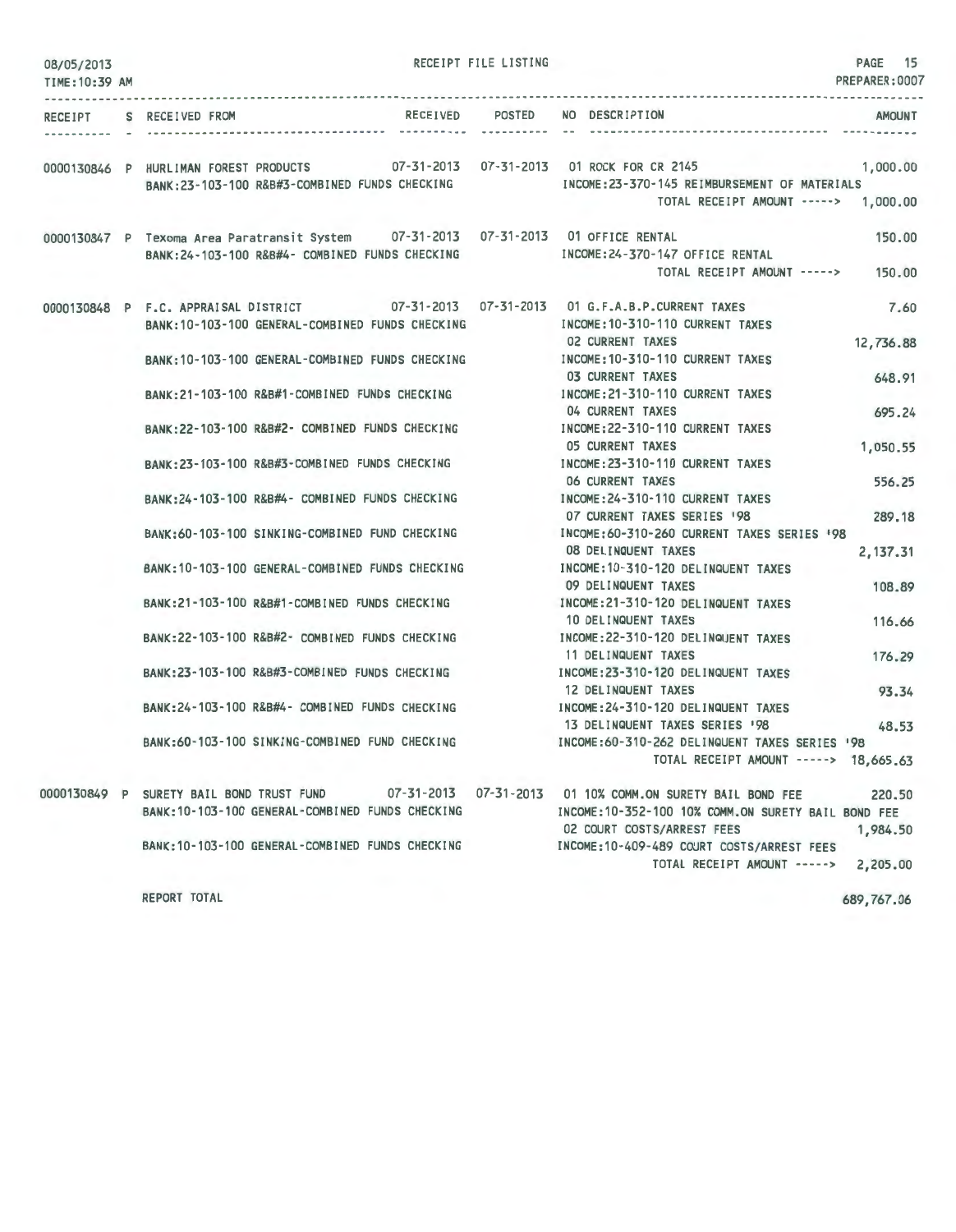| 08/05/2013<br>TIME: 10:39 AM |                                                                                                                                                        | RECEIPT FILE LISTING |                                                                                                                 | PAGE 15<br>PREPARER:0007 |
|------------------------------|--------------------------------------------------------------------------------------------------------------------------------------------------------|----------------------|-----------------------------------------------------------------------------------------------------------------|--------------------------|
| .                            |                                                                                                                                                        |                      |                                                                                                                 |                          |
|                              | RECEIPT S RECEIVED FROM                                                                                                                                |                      | RECEIVED POSTED NO DESCRIPTION                                                                                  | AMOUNT                   |
|                              |                                                                                                                                                        |                      |                                                                                                                 |                          |
|                              | 0000130846 P HURLIMAN FOREST PRODUCTS 07-31-2013 07-31-2013 01 ROCK FOR CR 2145<br>BANK:23-103-100 R&B#3-COMBINED FUNDS CHECKING                       |                      | INCOME: 23-370-145 REIMBURSEMENT OF MATERIALS<br>TOTAL RECEIPT AMOUNT -----> 1,000.00                           | 1,000.00                 |
|                              | 0000130847 P Texoma Area Paratransit System  07-31-2013  07-31-2013  01 OFFICE RENTAL<br>BANK: 24-103-100 R&B#4- COMBINED FUNDS CHECKING               |                      | INCOME: 24-370-147 OFFICE RENTAL<br>TOTAL RECEIPT AMOUNT ----->                                                 | 150,00<br>150.00         |
|                              | 0000130848 P F.C. APPRAISAL DISTRICT 07-31-2013 07-31-2013 01 G.F.A.B.P.CURRENT TAXES<br>BANK: 10-103-100 GENERAL-COMBINED FUNDS CHECKING              |                      | INCOME: 10-310-110 CURRENT TAXES<br>02 CURRENT TAXES                                                            | 7.60<br>12,736.88        |
|                              | BANK: 10-103-100 GENERAL-COMBINED FUNDS CHECKING                                                                                                       |                      | INCOME: 10-310-110 CURRENT TAXES<br><b>03 CURRENT TAXES</b>                                                     | 648.91                   |
|                              | BANK:21-103-100 R&B#1-COMBINED FUNDS CHECKING<br>BANK: 22-103-100 R&B#2- COMBINED FUNDS CHECKING                                                       |                      | INCOME: 21-310-110 CURRENT TAXES<br>04 CURRENT TAXES<br>INCOME: 22-310-110 CURRENT TAXES                        | 695.24                   |
|                              | BANK:23-103-100 R&B#3-COMBINED FUNDS CHECKING                                                                                                          |                      | 05 CURRENT TAXES<br>INCOME: 23-310-110 CURRENT TAXES                                                            | 1,050.55                 |
|                              | BANK:24-103-100 R&B#4- COMBINED FUNDS CHECKING                                                                                                         |                      | 06 CURRENT TAXES<br>INCOME: 24-310-110 CURRENT TAXES                                                            | 556.25                   |
|                              | BANK:60-103-100 SINKING-COMBINED FUND CHECKING                                                                                                         |                      | 07 CURRENT TAXES SERIES 198<br>INCOME: 60-310-260 CURRENT TAXES SERIES '98<br>08 DELINQUENT TAXES               | 289.18<br>2,137.31       |
|                              | BANK: 10-103-100 GENERAL-COMBINED FUNDS CHECKING                                                                                                       |                      | INCOME: 10-310-120 DELINQUENT TAXES<br>09 DELINQUENT TAXES                                                      | 108.89                   |
|                              | BANK:21-103-100 R&B#1-COMBINED FUNDS CHECKING                                                                                                          |                      | INCOME: 21-310-120 DELINQUENT TAXES<br>10 DELINQUENT TAXES                                                      | 116.66                   |
|                              | BANK:22-103-100 R&B#2- COMBINED FUNDS CHECKING                                                                                                         |                      | INCOME: 22-310-120 DELINQUENT TAXES<br>11 DELINQUENT TAXES                                                      | 176.29                   |
|                              | BANK: 23-103-100 R&B#3-COMBINED FUNDS CHECKING                                                                                                         |                      | INCOME: 23-310-120 DELINQUENT TAXES<br>12 DELINQUENT TAXES                                                      | 93.34                    |
|                              | BANK: 24-103-100 R&B#4- COMBINED FUNDS CHECKING                                                                                                        |                      | INCOME: 24-310-120 DELINQUENT TAXES<br>13 DELINQUENT TAXES SERIES 198                                           | 48.53                    |
|                              | BANK:60-103-100 SINKING-COMBINED FUND CHECKING                                                                                                         |                      | INCOME: 60-310-262 DELINQUENT TAXES SERIES '98<br>TOTAL RECEIPT AMOUNT -----> 18,665.63                         |                          |
|                              | 0000130849 P SURETY BAIL BOND TRUST FUND 07-31-2013 07-31-2013 01 10% COMM.ON SURETY BAIL BOND FEE<br>BANK: 10-103-100 GENERAL-COMBINED FUNDS CHECKING |                      | INCOME: 10-352-100 10% COMM. ON SURETY BAIL BOND FEE                                                            | 220.50                   |
|                              | BANK: 10-103-100 GENERAL-COMBINED FUNDS CHECKING                                                                                                       |                      | 02 COURT COSTS/ARREST FEES<br>INCOME:10-409-489 COURT COSTS/ARREST FEES<br>TOTAL RECEIPT AMOUNT -----> 2,205.00 | 1,984.50                 |
|                              |                                                                                                                                                        |                      |                                                                                                                 |                          |

REPORT TOTAL

689,767.06